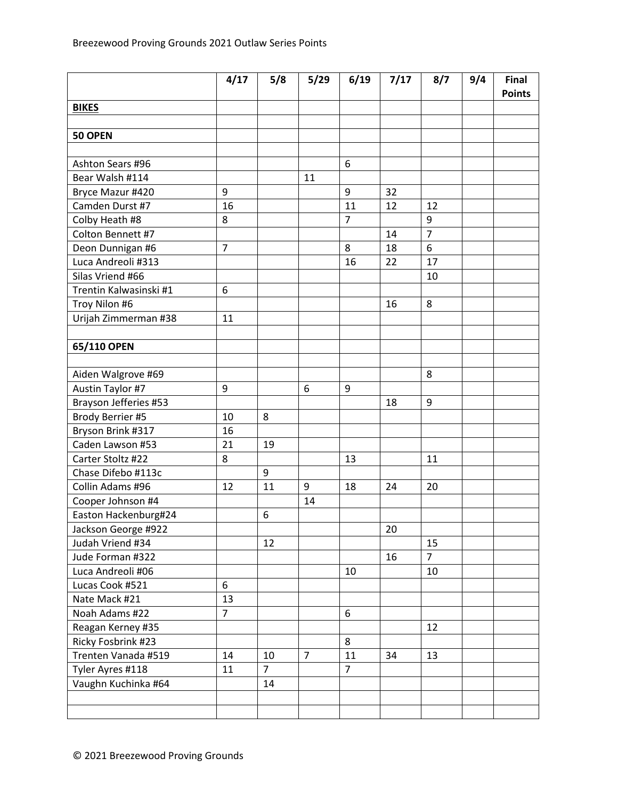|                        | 4/17           | 5/8            | 5/29           | 6/19           | 7/17 | 8/7            | 9/4 | Final<br><b>Points</b> |
|------------------------|----------------|----------------|----------------|----------------|------|----------------|-----|------------------------|
| <b>BIKES</b>           |                |                |                |                |      |                |     |                        |
|                        |                |                |                |                |      |                |     |                        |
| 50 OPEN                |                |                |                |                |      |                |     |                        |
|                        |                |                |                |                |      |                |     |                        |
| Ashton Sears #96       |                |                |                | 6              |      |                |     |                        |
| Bear Walsh #114        |                |                | 11             |                |      |                |     |                        |
| Bryce Mazur #420       | 9              |                |                | 9              | 32   |                |     |                        |
| Camden Durst #7        | 16             |                |                | 11             | 12   | 12             |     |                        |
| Colby Heath #8         | 8              |                |                | $\overline{7}$ |      | 9              |     |                        |
| Colton Bennett #7      |                |                |                |                | 14   | $\overline{7}$ |     |                        |
| Deon Dunnigan #6       | $\overline{7}$ |                |                | 8              | 18   | 6              |     |                        |
| Luca Andreoli #313     |                |                |                | 16             | 22   | 17             |     |                        |
| Silas Vriend #66       |                |                |                |                |      | 10             |     |                        |
| Trentin Kalwasinski #1 | 6              |                |                |                |      |                |     |                        |
| Troy Nilon #6          |                |                |                |                | 16   | 8              |     |                        |
| Urijah Zimmerman #38   | 11             |                |                |                |      |                |     |                        |
|                        |                |                |                |                |      |                |     |                        |
| 65/110 OPEN            |                |                |                |                |      |                |     |                        |
|                        |                |                |                |                |      |                |     |                        |
| Aiden Walgrove #69     |                |                |                |                |      | 8              |     |                        |
| Austin Taylor #7       | 9              |                | 6              | 9              |      |                |     |                        |
| Brayson Jefferies #53  |                |                |                |                | 18   | 9              |     |                        |
| Brody Berrier #5       | 10             | 8              |                |                |      |                |     |                        |
| Bryson Brink #317      | 16             |                |                |                |      |                |     |                        |
| Caden Lawson #53       | 21             | 19             |                |                |      |                |     |                        |
| Carter Stoltz #22      | 8              |                |                | 13             |      | 11             |     |                        |
| Chase Difebo #113c     |                | 9              |                |                |      |                |     |                        |
| Collin Adams #96       | 12             | 11             | 9              | 18             | 24   | 20             |     |                        |
| Cooper Johnson #4      |                |                | 14             |                |      |                |     |                        |
| Easton Hackenburg#24   |                | 6              |                |                |      |                |     |                        |
| Jackson George #922    |                |                |                |                | 20   |                |     |                        |
| Judah Vriend #34       |                | 12             |                |                |      | 15             |     |                        |
| Jude Forman #322       |                |                |                |                | 16   | $\overline{7}$ |     |                        |
| Luca Andreoli #06      |                |                |                | 10             |      | 10             |     |                        |
| Lucas Cook #521        | 6              |                |                |                |      |                |     |                        |
| Nate Mack #21          | 13             |                |                |                |      |                |     |                        |
| Noah Adams #22         | $\overline{7}$ |                |                | 6              |      |                |     |                        |
| Reagan Kerney #35      |                |                |                |                |      | 12             |     |                        |
| Ricky Fosbrink #23     |                |                |                | 8              |      |                |     |                        |
| Trenten Vanada #519    | 14             | 10             | $\overline{7}$ | 11             | 34   | 13             |     |                        |
| Tyler Ayres #118       | 11             | $\overline{7}$ |                | $\overline{7}$ |      |                |     |                        |
| Vaughn Kuchinka #64    |                | 14             |                |                |      |                |     |                        |
|                        |                |                |                |                |      |                |     |                        |
|                        |                |                |                |                |      |                |     |                        |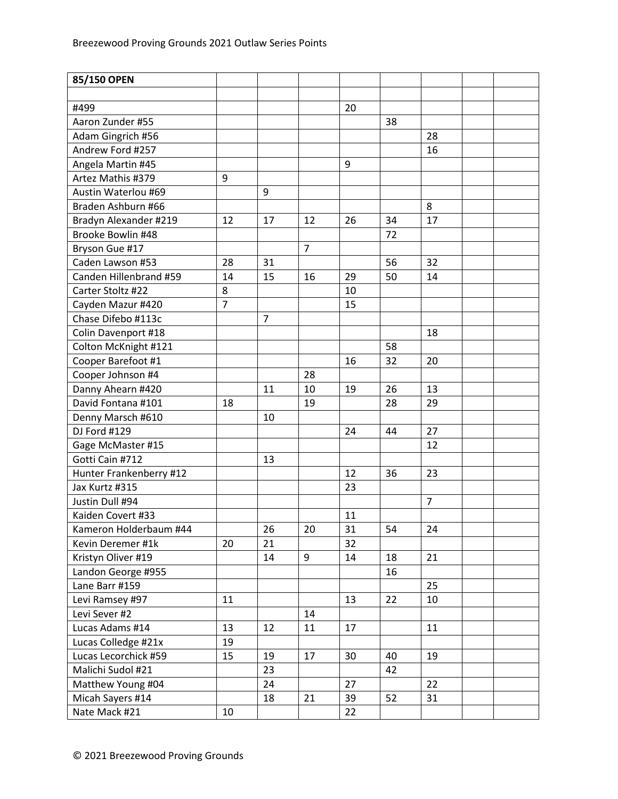| 20<br>#499<br>Aaron Zunder #55<br>38<br>Adam Gingrich #56<br>28<br>Andrew Ford #257<br>16<br>9<br>Angela Martin #45<br>Artez Mathis #379<br>9<br>Austin Waterlou #69<br>9<br>8<br>Braden Ashburn #66<br>Bradyn Alexander #219<br>12<br>12<br>26<br>34<br>17<br>17<br>72<br>Brooke Bowlin #48<br>$\overline{7}$<br>Bryson Gue #17<br>Caden Lawson #53<br>28<br>31<br>56<br>32<br>Canden Hillenbrand #59<br>15<br>29<br>50<br>14<br>14<br>16<br>Carter Stoltz #22<br>8<br>10<br>$\overline{7}$<br>Cayden Mazur #420<br>15<br>Chase Difebo #113c<br>$\overline{7}$<br>18<br>Colin Davenport #18<br>58<br>Colton McKnight #121<br>Cooper Barefoot #1<br>32<br>16<br>20<br>Cooper Johnson #4<br>28<br>26<br>Danny Ahearn #420<br>19<br>13<br>11<br>10<br>David Fontana #101<br>18<br>19<br>28<br>29<br>Denny Marsch #610<br>10<br>DJ Ford #129<br>27<br>24<br>44<br>12<br>Gage McMaster #15<br>Gotti Cain #712<br>13<br>36<br>12<br>23<br>Hunter Frankenberry #12<br>Jax Kurtz #315<br>23<br>$\overline{7}$<br>Justin Dull #94<br>Kaiden Covert #33<br>11<br>Kameron Holderbaum #44<br>26<br>20<br>31<br>54<br>24<br>21<br>32<br>Kevin Deremer #1k<br>20<br>9<br>Kristyn Oliver #19<br>21<br>14<br>14<br>18<br>Landon George #955<br>16<br>Lane Barr #159<br>25<br>22<br>Levi Ramsey #97<br>11<br>13<br>10<br>Levi Sever #2<br>14<br>Lucas Adams #14<br>13<br>12<br>17<br>11<br>11<br>Lucas Colledge #21x<br>19<br>Lucas Lecorchick #59<br>15<br>40<br>19<br>19<br>17<br>30<br>23<br>Malichi Sudol #21<br>42<br>Matthew Young #04<br>24<br>27<br>22<br>Micah Sayers #14<br>21<br>52<br>31<br>18<br>39 | 85/150 OPEN   |    |  |    |  |  |
|--------------------------------------------------------------------------------------------------------------------------------------------------------------------------------------------------------------------------------------------------------------------------------------------------------------------------------------------------------------------------------------------------------------------------------------------------------------------------------------------------------------------------------------------------------------------------------------------------------------------------------------------------------------------------------------------------------------------------------------------------------------------------------------------------------------------------------------------------------------------------------------------------------------------------------------------------------------------------------------------------------------------------------------------------------------------------------------------------------------------------------------------------------------------------------------------------------------------------------------------------------------------------------------------------------------------------------------------------------------------------------------------------------------------------------------------------------------------------------------------------------------------------------------------------------------------------------------------------|---------------|----|--|----|--|--|
|                                                                                                                                                                                                                                                                                                                                                                                                                                                                                                                                                                                                                                                                                                                                                                                                                                                                                                                                                                                                                                                                                                                                                                                                                                                                                                                                                                                                                                                                                                                                                                                                  |               |    |  |    |  |  |
|                                                                                                                                                                                                                                                                                                                                                                                                                                                                                                                                                                                                                                                                                                                                                                                                                                                                                                                                                                                                                                                                                                                                                                                                                                                                                                                                                                                                                                                                                                                                                                                                  |               |    |  |    |  |  |
|                                                                                                                                                                                                                                                                                                                                                                                                                                                                                                                                                                                                                                                                                                                                                                                                                                                                                                                                                                                                                                                                                                                                                                                                                                                                                                                                                                                                                                                                                                                                                                                                  |               |    |  |    |  |  |
|                                                                                                                                                                                                                                                                                                                                                                                                                                                                                                                                                                                                                                                                                                                                                                                                                                                                                                                                                                                                                                                                                                                                                                                                                                                                                                                                                                                                                                                                                                                                                                                                  |               |    |  |    |  |  |
|                                                                                                                                                                                                                                                                                                                                                                                                                                                                                                                                                                                                                                                                                                                                                                                                                                                                                                                                                                                                                                                                                                                                                                                                                                                                                                                                                                                                                                                                                                                                                                                                  |               |    |  |    |  |  |
|                                                                                                                                                                                                                                                                                                                                                                                                                                                                                                                                                                                                                                                                                                                                                                                                                                                                                                                                                                                                                                                                                                                                                                                                                                                                                                                                                                                                                                                                                                                                                                                                  |               |    |  |    |  |  |
|                                                                                                                                                                                                                                                                                                                                                                                                                                                                                                                                                                                                                                                                                                                                                                                                                                                                                                                                                                                                                                                                                                                                                                                                                                                                                                                                                                                                                                                                                                                                                                                                  |               |    |  |    |  |  |
|                                                                                                                                                                                                                                                                                                                                                                                                                                                                                                                                                                                                                                                                                                                                                                                                                                                                                                                                                                                                                                                                                                                                                                                                                                                                                                                                                                                                                                                                                                                                                                                                  |               |    |  |    |  |  |
|                                                                                                                                                                                                                                                                                                                                                                                                                                                                                                                                                                                                                                                                                                                                                                                                                                                                                                                                                                                                                                                                                                                                                                                                                                                                                                                                                                                                                                                                                                                                                                                                  |               |    |  |    |  |  |
|                                                                                                                                                                                                                                                                                                                                                                                                                                                                                                                                                                                                                                                                                                                                                                                                                                                                                                                                                                                                                                                                                                                                                                                                                                                                                                                                                                                                                                                                                                                                                                                                  |               |    |  |    |  |  |
|                                                                                                                                                                                                                                                                                                                                                                                                                                                                                                                                                                                                                                                                                                                                                                                                                                                                                                                                                                                                                                                                                                                                                                                                                                                                                                                                                                                                                                                                                                                                                                                                  |               |    |  |    |  |  |
|                                                                                                                                                                                                                                                                                                                                                                                                                                                                                                                                                                                                                                                                                                                                                                                                                                                                                                                                                                                                                                                                                                                                                                                                                                                                                                                                                                                                                                                                                                                                                                                                  |               |    |  |    |  |  |
|                                                                                                                                                                                                                                                                                                                                                                                                                                                                                                                                                                                                                                                                                                                                                                                                                                                                                                                                                                                                                                                                                                                                                                                                                                                                                                                                                                                                                                                                                                                                                                                                  |               |    |  |    |  |  |
|                                                                                                                                                                                                                                                                                                                                                                                                                                                                                                                                                                                                                                                                                                                                                                                                                                                                                                                                                                                                                                                                                                                                                                                                                                                                                                                                                                                                                                                                                                                                                                                                  |               |    |  |    |  |  |
|                                                                                                                                                                                                                                                                                                                                                                                                                                                                                                                                                                                                                                                                                                                                                                                                                                                                                                                                                                                                                                                                                                                                                                                                                                                                                                                                                                                                                                                                                                                                                                                                  |               |    |  |    |  |  |
|                                                                                                                                                                                                                                                                                                                                                                                                                                                                                                                                                                                                                                                                                                                                                                                                                                                                                                                                                                                                                                                                                                                                                                                                                                                                                                                                                                                                                                                                                                                                                                                                  |               |    |  |    |  |  |
|                                                                                                                                                                                                                                                                                                                                                                                                                                                                                                                                                                                                                                                                                                                                                                                                                                                                                                                                                                                                                                                                                                                                                                                                                                                                                                                                                                                                                                                                                                                                                                                                  |               |    |  |    |  |  |
|                                                                                                                                                                                                                                                                                                                                                                                                                                                                                                                                                                                                                                                                                                                                                                                                                                                                                                                                                                                                                                                                                                                                                                                                                                                                                                                                                                                                                                                                                                                                                                                                  |               |    |  |    |  |  |
|                                                                                                                                                                                                                                                                                                                                                                                                                                                                                                                                                                                                                                                                                                                                                                                                                                                                                                                                                                                                                                                                                                                                                                                                                                                                                                                                                                                                                                                                                                                                                                                                  |               |    |  |    |  |  |
|                                                                                                                                                                                                                                                                                                                                                                                                                                                                                                                                                                                                                                                                                                                                                                                                                                                                                                                                                                                                                                                                                                                                                                                                                                                                                                                                                                                                                                                                                                                                                                                                  |               |    |  |    |  |  |
|                                                                                                                                                                                                                                                                                                                                                                                                                                                                                                                                                                                                                                                                                                                                                                                                                                                                                                                                                                                                                                                                                                                                                                                                                                                                                                                                                                                                                                                                                                                                                                                                  |               |    |  |    |  |  |
|                                                                                                                                                                                                                                                                                                                                                                                                                                                                                                                                                                                                                                                                                                                                                                                                                                                                                                                                                                                                                                                                                                                                                                                                                                                                                                                                                                                                                                                                                                                                                                                                  |               |    |  |    |  |  |
|                                                                                                                                                                                                                                                                                                                                                                                                                                                                                                                                                                                                                                                                                                                                                                                                                                                                                                                                                                                                                                                                                                                                                                                                                                                                                                                                                                                                                                                                                                                                                                                                  |               |    |  |    |  |  |
|                                                                                                                                                                                                                                                                                                                                                                                                                                                                                                                                                                                                                                                                                                                                                                                                                                                                                                                                                                                                                                                                                                                                                                                                                                                                                                                                                                                                                                                                                                                                                                                                  |               |    |  |    |  |  |
|                                                                                                                                                                                                                                                                                                                                                                                                                                                                                                                                                                                                                                                                                                                                                                                                                                                                                                                                                                                                                                                                                                                                                                                                                                                                                                                                                                                                                                                                                                                                                                                                  |               |    |  |    |  |  |
|                                                                                                                                                                                                                                                                                                                                                                                                                                                                                                                                                                                                                                                                                                                                                                                                                                                                                                                                                                                                                                                                                                                                                                                                                                                                                                                                                                                                                                                                                                                                                                                                  |               |    |  |    |  |  |
|                                                                                                                                                                                                                                                                                                                                                                                                                                                                                                                                                                                                                                                                                                                                                                                                                                                                                                                                                                                                                                                                                                                                                                                                                                                                                                                                                                                                                                                                                                                                                                                                  |               |    |  |    |  |  |
|                                                                                                                                                                                                                                                                                                                                                                                                                                                                                                                                                                                                                                                                                                                                                                                                                                                                                                                                                                                                                                                                                                                                                                                                                                                                                                                                                                                                                                                                                                                                                                                                  |               |    |  |    |  |  |
|                                                                                                                                                                                                                                                                                                                                                                                                                                                                                                                                                                                                                                                                                                                                                                                                                                                                                                                                                                                                                                                                                                                                                                                                                                                                                                                                                                                                                                                                                                                                                                                                  |               |    |  |    |  |  |
|                                                                                                                                                                                                                                                                                                                                                                                                                                                                                                                                                                                                                                                                                                                                                                                                                                                                                                                                                                                                                                                                                                                                                                                                                                                                                                                                                                                                                                                                                                                                                                                                  |               |    |  |    |  |  |
|                                                                                                                                                                                                                                                                                                                                                                                                                                                                                                                                                                                                                                                                                                                                                                                                                                                                                                                                                                                                                                                                                                                                                                                                                                                                                                                                                                                                                                                                                                                                                                                                  |               |    |  |    |  |  |
|                                                                                                                                                                                                                                                                                                                                                                                                                                                                                                                                                                                                                                                                                                                                                                                                                                                                                                                                                                                                                                                                                                                                                                                                                                                                                                                                                                                                                                                                                                                                                                                                  |               |    |  |    |  |  |
|                                                                                                                                                                                                                                                                                                                                                                                                                                                                                                                                                                                                                                                                                                                                                                                                                                                                                                                                                                                                                                                                                                                                                                                                                                                                                                                                                                                                                                                                                                                                                                                                  |               |    |  |    |  |  |
|                                                                                                                                                                                                                                                                                                                                                                                                                                                                                                                                                                                                                                                                                                                                                                                                                                                                                                                                                                                                                                                                                                                                                                                                                                                                                                                                                                                                                                                                                                                                                                                                  |               |    |  |    |  |  |
|                                                                                                                                                                                                                                                                                                                                                                                                                                                                                                                                                                                                                                                                                                                                                                                                                                                                                                                                                                                                                                                                                                                                                                                                                                                                                                                                                                                                                                                                                                                                                                                                  |               |    |  |    |  |  |
|                                                                                                                                                                                                                                                                                                                                                                                                                                                                                                                                                                                                                                                                                                                                                                                                                                                                                                                                                                                                                                                                                                                                                                                                                                                                                                                                                                                                                                                                                                                                                                                                  |               |    |  |    |  |  |
|                                                                                                                                                                                                                                                                                                                                                                                                                                                                                                                                                                                                                                                                                                                                                                                                                                                                                                                                                                                                                                                                                                                                                                                                                                                                                                                                                                                                                                                                                                                                                                                                  |               |    |  |    |  |  |
|                                                                                                                                                                                                                                                                                                                                                                                                                                                                                                                                                                                                                                                                                                                                                                                                                                                                                                                                                                                                                                                                                                                                                                                                                                                                                                                                                                                                                                                                                                                                                                                                  |               |    |  |    |  |  |
|                                                                                                                                                                                                                                                                                                                                                                                                                                                                                                                                                                                                                                                                                                                                                                                                                                                                                                                                                                                                                                                                                                                                                                                                                                                                                                                                                                                                                                                                                                                                                                                                  |               |    |  |    |  |  |
|                                                                                                                                                                                                                                                                                                                                                                                                                                                                                                                                                                                                                                                                                                                                                                                                                                                                                                                                                                                                                                                                                                                                                                                                                                                                                                                                                                                                                                                                                                                                                                                                  |               |    |  |    |  |  |
|                                                                                                                                                                                                                                                                                                                                                                                                                                                                                                                                                                                                                                                                                                                                                                                                                                                                                                                                                                                                                                                                                                                                                                                                                                                                                                                                                                                                                                                                                                                                                                                                  |               |    |  |    |  |  |
|                                                                                                                                                                                                                                                                                                                                                                                                                                                                                                                                                                                                                                                                                                                                                                                                                                                                                                                                                                                                                                                                                                                                                                                                                                                                                                                                                                                                                                                                                                                                                                                                  |               |    |  |    |  |  |
|                                                                                                                                                                                                                                                                                                                                                                                                                                                                                                                                                                                                                                                                                                                                                                                                                                                                                                                                                                                                                                                                                                                                                                                                                                                                                                                                                                                                                                                                                                                                                                                                  |               |    |  |    |  |  |
|                                                                                                                                                                                                                                                                                                                                                                                                                                                                                                                                                                                                                                                                                                                                                                                                                                                                                                                                                                                                                                                                                                                                                                                                                                                                                                                                                                                                                                                                                                                                                                                                  |               |    |  |    |  |  |
|                                                                                                                                                                                                                                                                                                                                                                                                                                                                                                                                                                                                                                                                                                                                                                                                                                                                                                                                                                                                                                                                                                                                                                                                                                                                                                                                                                                                                                                                                                                                                                                                  | Nate Mack #21 | 10 |  | 22 |  |  |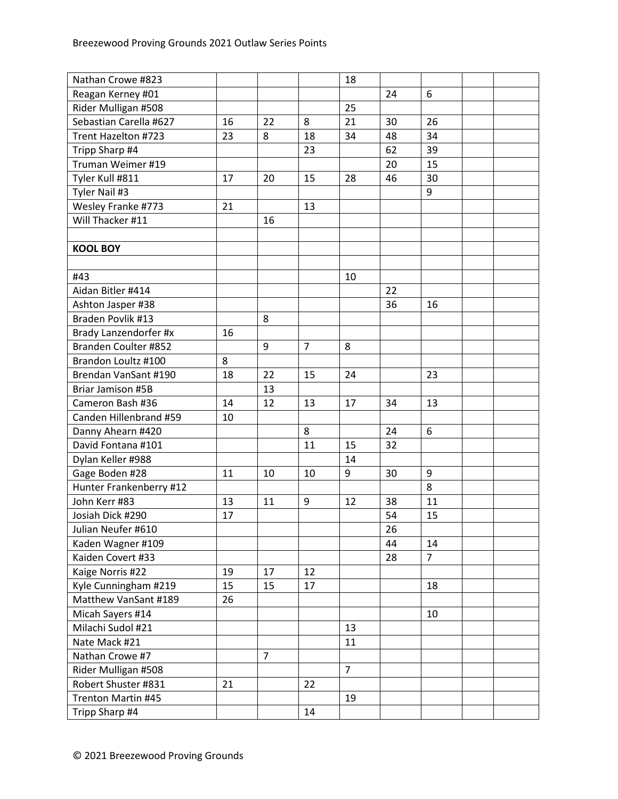| Nathan Crowe #823       |    |                |                | 18             |    |                |  |
|-------------------------|----|----------------|----------------|----------------|----|----------------|--|
| Reagan Kerney #01       |    |                |                |                | 24 | 6              |  |
| Rider Mulligan #508     |    |                |                | 25             |    |                |  |
| Sebastian Carella #627  | 16 | 22             | 8              | 21             | 30 | 26             |  |
| Trent Hazelton #723     | 23 | 8              | 18             | 34             | 48 | 34             |  |
| Tripp Sharp #4          |    |                | 23             |                | 62 | 39             |  |
| Truman Weimer #19       |    |                |                |                | 20 | 15             |  |
| Tyler Kull #811         | 17 | 20             | 15             | 28             | 46 | 30             |  |
| Tyler Nail #3           |    |                |                |                |    | 9              |  |
| Wesley Franke #773      | 21 |                | 13             |                |    |                |  |
| Will Thacker #11        |    | 16             |                |                |    |                |  |
|                         |    |                |                |                |    |                |  |
| <b>KOOL BOY</b>         |    |                |                |                |    |                |  |
|                         |    |                |                |                |    |                |  |
| #43                     |    |                |                | 10             |    |                |  |
| Aidan Bitler #414       |    |                |                |                | 22 |                |  |
| Ashton Jasper #38       |    |                |                |                | 36 | 16             |  |
| Braden Povlik #13       |    | 8              |                |                |    |                |  |
| Brady Lanzendorfer #x   | 16 |                |                |                |    |                |  |
| Branden Coulter #852    |    | 9              | $\overline{7}$ | 8              |    |                |  |
| Brandon Loultz #100     | 8  |                |                |                |    |                |  |
| Brendan VanSant #190    | 18 | 22             | 15             | 24             |    | 23             |  |
| Briar Jamison #5B       |    | 13             |                |                |    |                |  |
| Cameron Bash #36        | 14 | 12             | 13             | 17             | 34 | 13             |  |
| Canden Hillenbrand #59  | 10 |                |                |                |    |                |  |
| Danny Ahearn #420       |    |                | 8              |                | 24 | 6              |  |
| David Fontana #101      |    |                | 11             | 15             | 32 |                |  |
| Dylan Keller #988       |    |                |                | 14             |    |                |  |
| Gage Boden #28          | 11 | 10             | 10             | 9              | 30 | 9              |  |
| Hunter Frankenberry #12 |    |                |                |                |    | 8              |  |
| John Kerr #83           | 13 | 11             | 9              | 12             | 38 | 11             |  |
| Josiah Dick #290        | 17 |                |                |                | 54 | 15             |  |
| Julian Neufer #610      |    |                |                |                | 26 |                |  |
| Kaden Wagner #109       |    |                |                |                | 44 | 14             |  |
| Kaiden Covert #33       |    |                |                |                | 28 | $\overline{7}$ |  |
| Kaige Norris #22        | 19 | 17             | 12             |                |    |                |  |
| Kyle Cunningham #219    | 15 | 15             | 17             |                |    | 18             |  |
| Matthew VanSant #189    | 26 |                |                |                |    |                |  |
| Micah Sayers #14        |    |                |                |                |    | 10             |  |
| Milachi Sudol #21       |    |                |                | 13             |    |                |  |
| Nate Mack #21           |    |                |                | 11             |    |                |  |
| Nathan Crowe #7         |    | $\overline{7}$ |                |                |    |                |  |
| Rider Mulligan #508     |    |                |                | $\overline{7}$ |    |                |  |
| Robert Shuster #831     | 21 |                | 22             |                |    |                |  |
| Trenton Martin #45      |    |                |                | 19             |    |                |  |
| Tripp Sharp #4          |    |                | 14             |                |    |                |  |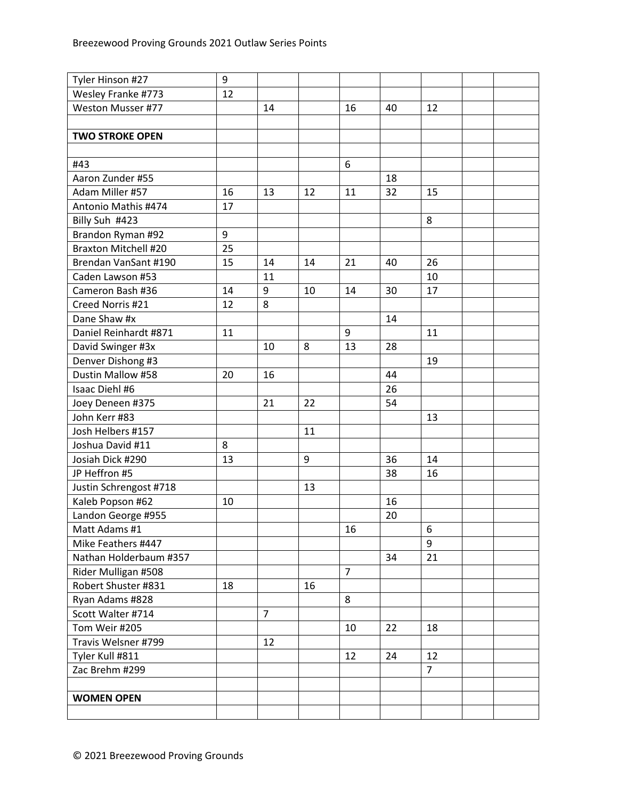| Tyler Hinson #27            | 9  |                |    |                |    |                |  |
|-----------------------------|----|----------------|----|----------------|----|----------------|--|
| Wesley Franke #773          | 12 |                |    |                |    |                |  |
| Weston Musser #77           |    | 14             |    | 16             | 40 | 12             |  |
|                             |    |                |    |                |    |                |  |
| <b>TWO STROKE OPEN</b>      |    |                |    |                |    |                |  |
|                             |    |                |    |                |    |                |  |
| #43                         |    |                |    | 6              |    |                |  |
| Aaron Zunder #55            |    |                |    |                | 18 |                |  |
| Adam Miller #57             | 16 | 13             | 12 | 11             | 32 | 15             |  |
| Antonio Mathis #474         | 17 |                |    |                |    |                |  |
| Billy Suh #423              |    |                |    |                |    | 8              |  |
| Brandon Ryman #92           | 9  |                |    |                |    |                |  |
| <b>Braxton Mitchell #20</b> | 25 |                |    |                |    |                |  |
| Brendan VanSant #190        | 15 | 14             | 14 | 21             | 40 | 26             |  |
| Caden Lawson #53            |    | 11             |    |                |    | 10             |  |
| Cameron Bash #36            | 14 | 9              | 10 | 14             | 30 | 17             |  |
| Creed Norris #21            | 12 | 8              |    |                |    |                |  |
| Dane Shaw #x                |    |                |    |                | 14 |                |  |
| Daniel Reinhardt #871       | 11 |                |    | 9              |    | 11             |  |
| David Swinger #3x           |    | 10             | 8  | 13             | 28 |                |  |
| Denver Dishong #3           |    |                |    |                |    | 19             |  |
| Dustin Mallow #58           | 20 | 16             |    |                | 44 |                |  |
| Isaac Diehl #6              |    |                |    |                | 26 |                |  |
| Joey Deneen #375            |    | 21             | 22 |                | 54 |                |  |
| John Kerr #83               |    |                |    |                |    | 13             |  |
| Josh Helbers #157           |    |                | 11 |                |    |                |  |
| Joshua David #11            | 8  |                |    |                |    |                |  |
| Josiah Dick #290            | 13 |                | 9  |                | 36 | 14             |  |
| JP Heffron #5               |    |                |    |                | 38 | 16             |  |
| Justin Schrengost #718      |    |                | 13 |                |    |                |  |
| Kaleb Popson #62            | 10 |                |    |                | 16 |                |  |
| Landon George #955          |    |                |    |                | 20 |                |  |
| Matt Adams #1               |    |                |    | 16             |    | 6              |  |
| Mike Feathers #447          |    |                |    |                |    | 9              |  |
| Nathan Holderbaum #357      |    |                |    |                | 34 | 21             |  |
| Rider Mulligan #508         |    |                |    | $\overline{7}$ |    |                |  |
| Robert Shuster #831         | 18 |                | 16 |                |    |                |  |
| Ryan Adams #828             |    |                |    | 8              |    |                |  |
| Scott Walter #714           |    | $\overline{7}$ |    |                |    |                |  |
| Tom Weir #205               |    |                |    | 10             | 22 | 18             |  |
| Travis Welsner #799         |    | 12             |    |                |    |                |  |
| Tyler Kull #811             |    |                |    | 12             | 24 | 12             |  |
| Zac Brehm #299              |    |                |    |                |    | $\overline{7}$ |  |
|                             |    |                |    |                |    |                |  |
| <b>WOMEN OPEN</b>           |    |                |    |                |    |                |  |
|                             |    |                |    |                |    |                |  |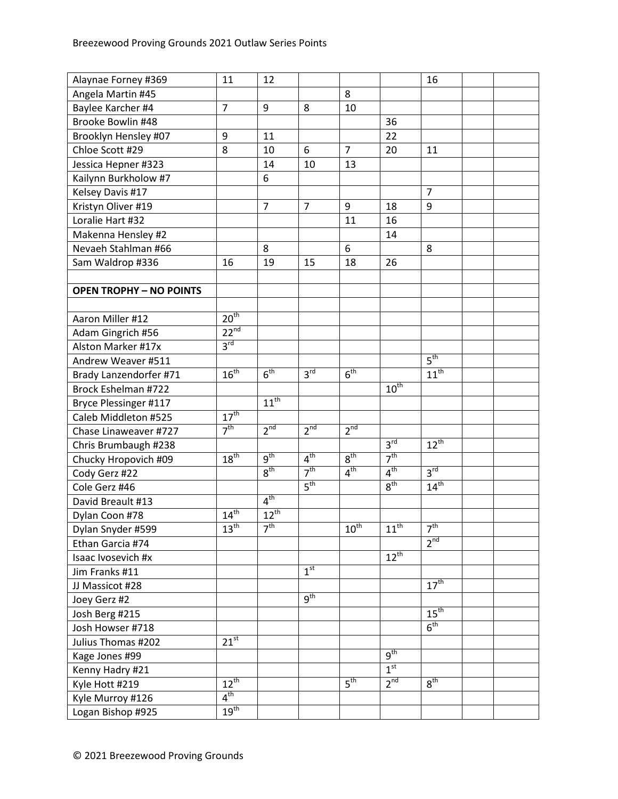| Alaynae Forney #369            | 11                   | 12              |                 |                  |                      | 16               |  |
|--------------------------------|----------------------|-----------------|-----------------|------------------|----------------------|------------------|--|
| Angela Martin #45              |                      |                 |                 | 8                |                      |                  |  |
| Baylee Karcher #4              | $\overline{7}$       | 9               | 8               | 10               |                      |                  |  |
| Brooke Bowlin #48              |                      |                 |                 |                  | 36                   |                  |  |
| Brooklyn Hensley #07           | 9                    | 11              |                 |                  | 22                   |                  |  |
| Chloe Scott #29                | 8                    | 10              | 6               | $\overline{7}$   | 20                   | 11               |  |
| Jessica Hepner #323            |                      | 14              | 10              | 13               |                      |                  |  |
| Kailynn Burkholow #7           |                      | 6               |                 |                  |                      |                  |  |
| Kelsey Davis #17               |                      |                 |                 |                  |                      | $\overline{7}$   |  |
| Kristyn Oliver #19             |                      | $\overline{7}$  | $\overline{7}$  | 9                | 18                   | 9                |  |
| Loralie Hart #32               |                      |                 |                 | 11               | 16                   |                  |  |
| Makenna Hensley #2             |                      |                 |                 |                  | 14                   |                  |  |
| Nevaeh Stahlman #66            |                      | 8               |                 | 6                |                      | 8                |  |
| Sam Waldrop #336               | 16                   | 19              | 15              | 18               | 26                   |                  |  |
|                                |                      |                 |                 |                  |                      |                  |  |
| <b>OPEN TROPHY - NO POINTS</b> |                      |                 |                 |                  |                      |                  |  |
|                                |                      |                 |                 |                  |                      |                  |  |
| Aaron Miller #12               | 20 <sup>th</sup>     |                 |                 |                  |                      |                  |  |
| Adam Gingrich #56              | $22^{nd}$            |                 |                 |                  |                      |                  |  |
| Alston Marker #17x             | $3^{\text{rd}}$      |                 |                 |                  |                      |                  |  |
| Andrew Weaver #511             |                      |                 |                 |                  |                      | $5^{\text{th}}$  |  |
| Brady Lanzendorfer #71         | 16 <sup>th</sup>     | 6 <sup>th</sup> | 3 <sup>rd</sup> | 6 <sup>th</sup>  |                      | $11^{th}$        |  |
| Brock Eshelman #722            |                      |                 |                 |                  | $10^{\overline{th}}$ |                  |  |
| Bryce Plessinger #117          |                      | $11^{th}$       |                 |                  |                      |                  |  |
| Caleb Middleton #525           | $17^{\text{th}}$     |                 |                 |                  |                      |                  |  |
| Chase Linaweaver #727          | 7 <sup>th</sup>      | 2 <sup>nd</sup> | 2 <sup>nd</sup> | 2 <sup>nd</sup>  |                      |                  |  |
| Chris Brumbaugh #238           |                      |                 |                 |                  | 3 <sup>rd</sup>      | $12^{th}$        |  |
| Chucky Hropovich #09           | $18^{\text{th}}$     | 9 <sup>th</sup> | 4 <sup>th</sup> | 8 <sup>th</sup>  | 7 <sup>th</sup>      |                  |  |
| Cody Gerz #22                  |                      | 8 <sup>th</sup> | 7 <sup>th</sup> | 4 <sup>th</sup>  | $4^{\text{th}}$      | 3 <sup>rd</sup>  |  |
| Cole Gerz #46                  |                      |                 | 5 <sup>th</sup> |                  | $8^{\text{th}}$      | $14^{\text{th}}$ |  |
| David Breault #13              |                      | 4 <sup>th</sup> |                 |                  |                      |                  |  |
| Dylan Coon #78                 | $14^{\overline{th}}$ | $12^{th}$       |                 |                  |                      |                  |  |
| Dylan Snyder #599              | $13^{\text{th}}$     | 7 <sup>th</sup> |                 | $10^{\text{th}}$ | $11^{\text{th}}$     | 7 <sup>th</sup>  |  |
| Ethan Garcia #74               |                      |                 |                 |                  |                      | 2 <sup>nd</sup>  |  |
| Isaac Ivosevich #x             |                      |                 |                 |                  | $12^{th}$            |                  |  |
| Jim Franks #11                 |                      |                 | 1 <sup>st</sup> |                  |                      |                  |  |
| JJ Massicot #28                |                      |                 |                 |                  |                      | $17^{\text{th}}$ |  |
| Joey Gerz #2                   |                      |                 | 9 <sup>th</sup> |                  |                      |                  |  |
| Josh Berg #215                 |                      |                 |                 |                  |                      | $15^{\text{th}}$ |  |
| Josh Howser #718               |                      |                 |                 |                  |                      | 6 <sup>th</sup>  |  |
| Julius Thomas #202             | $21^{st}$            |                 |                 |                  |                      |                  |  |
| Kage Jones #99                 |                      |                 |                 |                  | 9 <sup>th</sup>      |                  |  |
| Kenny Hadry #21                |                      |                 |                 |                  | 1 <sup>st</sup>      |                  |  |
| Kyle Hott #219                 | $12^{\text{th}}$     |                 |                 | $5^{\text{th}}$  | $2^{nd}$             | $8^{\text{th}}$  |  |
| Kyle Murroy #126               | $4^{\text{th}}$      |                 |                 |                  |                      |                  |  |
| Logan Bishop #925              | $19^{\text{th}}$     |                 |                 |                  |                      |                  |  |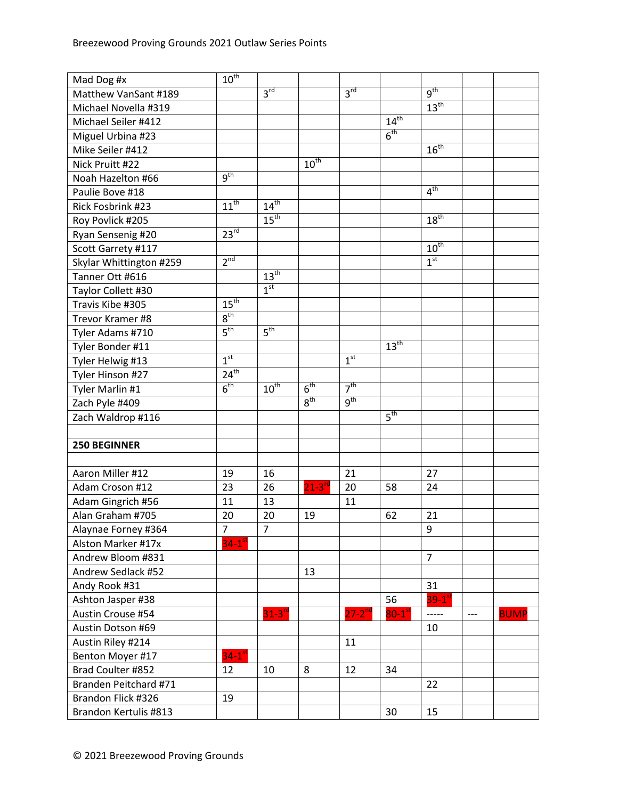| Mad Dog #x              | $10^{\text{th}}$     |                  |                      |                 |                             |                      |       |             |
|-------------------------|----------------------|------------------|----------------------|-----------------|-----------------------------|----------------------|-------|-------------|
| Matthew VanSant #189    |                      | 3 <sup>rd</sup>  |                      | $3^{\text{rd}}$ |                             | 9 <sup>th</sup>      |       |             |
| Michael Novella #319    |                      |                  |                      |                 |                             | 13 <sup>th</sup>     |       |             |
| Michael Seiler #412     |                      |                  |                      |                 | $14^{\overline{\text{th}}}$ |                      |       |             |
| Miguel Urbina #23       |                      |                  |                      |                 | 6 <sup>th</sup>             |                      |       |             |
| Mike Seiler #412        |                      |                  |                      |                 |                             | $16^{\text{th}}$     |       |             |
| Nick Pruitt #22         |                      |                  | $10^{\overline{th}}$ |                 |                             |                      |       |             |
| Noah Hazelton #66       | 9 <sup>th</sup>      |                  |                      |                 |                             |                      |       |             |
| Paulie Bove #18         |                      |                  |                      |                 |                             | 4 <sup>th</sup>      |       |             |
| Rick Fosbrink #23       | $11^{th}$            | $14^{\text{th}}$ |                      |                 |                             |                      |       |             |
| Roy Povlick #205        |                      | $15^{\text{th}}$ |                      |                 |                             | $18^{\text{th}}$     |       |             |
| Ryan Sensenig #20       | 23 <sup>rd</sup>     |                  |                      |                 |                             |                      |       |             |
| Scott Garrety #117      |                      |                  |                      |                 |                             | $10^{\text{th}}$     |       |             |
| Skylar Whittington #259 | 2 <sup>nd</sup>      |                  |                      |                 |                             | 1 <sup>st</sup>      |       |             |
| Tanner Ott #616         |                      | 13 <sup>th</sup> |                      |                 |                             |                      |       |             |
| Taylor Collett #30      |                      | 1 <sup>st</sup>  |                      |                 |                             |                      |       |             |
| Travis Kibe #305        | $15^{\text{th}}$     |                  |                      |                 |                             |                      |       |             |
| Trevor Kramer #8        | 8 <sup>th</sup>      |                  |                      |                 |                             |                      |       |             |
| Tyler Adams #710        | 5 <sup>th</sup>      | 5 <sup>th</sup>  |                      |                 |                             |                      |       |             |
| Tyler Bonder #11        |                      |                  |                      |                 | $13^{\overline{th}}$        |                      |       |             |
| Tyler Helwig #13        | 1 <sup>st</sup>      |                  |                      | 1 <sup>st</sup> |                             |                      |       |             |
| Tyler Hinson #27        | 24 <sup>th</sup>     |                  |                      |                 |                             |                      |       |             |
| Tyler Marlin #1         | 6 <sup>th</sup>      | $10^{\text{th}}$ | 6 <sup>th</sup>      | 7 <sup>th</sup> |                             |                      |       |             |
| Zach Pyle #409          |                      |                  | 8 <sup>th</sup>      | 9 <sup>th</sup> |                             |                      |       |             |
| Zach Waldrop #116       |                      |                  |                      |                 | 5 <sup>th</sup>             |                      |       |             |
|                         |                      |                  |                      |                 |                             |                      |       |             |
| <b>250 BEGINNER</b>     |                      |                  |                      |                 |                             |                      |       |             |
|                         |                      |                  |                      |                 |                             |                      |       |             |
| Aaron Miller #12        | 19                   | 16               |                      | 21              |                             | 27                   |       |             |
| Adam Croson #12         | 23                   | 26               | $21 - 3^{10}$        | 20              | 58                          | 24                   |       |             |
| Adam Gingrich #56       | 11                   | 13               |                      | 11              |                             |                      |       |             |
| Alan Graham #705        | 20                   | 20               | 19                   |                 | 62                          | 21                   |       |             |
| Alaynae Forney #364     | $\overline{7}$       | $\overline{7}$   |                      |                 |                             | 9                    |       |             |
| Alston Marker #17x      | $34-1$ <sup>st</sup> |                  |                      |                 |                             |                      |       |             |
| Andrew Bloom #831       |                      |                  |                      |                 |                             | $\overline{7}$       |       |             |
| Andrew Sedlack #52      |                      |                  | 13                   |                 |                             |                      |       |             |
| Andy Rook #31           |                      |                  |                      |                 |                             | 31                   |       |             |
| Ashton Jasper #38       |                      |                  |                      |                 | 56                          | $39-1$ <sup>st</sup> |       |             |
| Austin Crouse #54       |                      | $31-3rd$         |                      | $27 - 2^{nd}$   | $80-1^\mathrm{st}$          | -----                | $---$ | <b>BUMP</b> |
| Austin Dotson #69       |                      |                  |                      |                 |                             | 10                   |       |             |
| Austin Riley #214       |                      |                  |                      | 11              |                             |                      |       |             |
| Benton Moyer #17        | $34-1$ <sup>st</sup> |                  |                      |                 |                             |                      |       |             |
| Brad Coulter #852       | 12                   | 10               | 8                    | 12              | 34                          |                      |       |             |
| Branden Peitchard #71   |                      |                  |                      |                 |                             | 22                   |       |             |
| Brandon Flick #326      | 19                   |                  |                      |                 |                             |                      |       |             |
| Brandon Kertulis #813   |                      |                  |                      |                 | 30                          | 15                   |       |             |
|                         |                      |                  |                      |                 |                             |                      |       |             |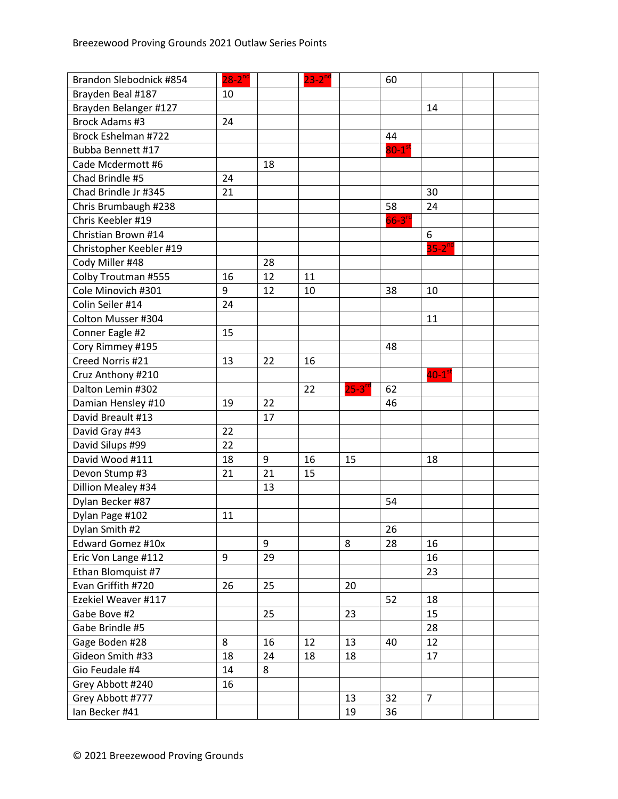| Brandon Slebodnick #854 | $28-2^{nd}$ |    | $23 - 2^{nd}$ |           | 60                   |                  |  |
|-------------------------|-------------|----|---------------|-----------|----------------------|------------------|--|
| Brayden Beal #187       | 10          |    |               |           |                      |                  |  |
| Brayden Belanger #127   |             |    |               |           |                      | 14               |  |
| Brock Adams #3          | 24          |    |               |           |                      |                  |  |
| Brock Eshelman #722     |             |    |               |           | 44                   |                  |  |
| Bubba Bennett #17       |             |    |               |           | $80-1$ <sup>st</sup> |                  |  |
| Cade Mcdermott #6       |             | 18 |               |           |                      |                  |  |
| Chad Brindle #5         | 24          |    |               |           |                      |                  |  |
| Chad Brindle Jr #345    | 21          |    |               |           |                      | 30               |  |
| Chris Brumbaugh #238    |             |    |               |           | 58                   | 24               |  |
| Chris Keebler #19       |             |    |               |           | $66-3$ <sup>rd</sup> |                  |  |
| Christian Brown #14     |             |    |               |           |                      | 6                |  |
| Christopher Keebler #19 |             |    |               |           |                      | $35 - 2^{nc}$    |  |
| Cody Miller #48         |             | 28 |               |           |                      |                  |  |
| Colby Troutman #555     | 16          | 12 | 11            |           |                      |                  |  |
| Cole Minovich #301      | 9           | 12 | 10            |           | 38                   | 10               |  |
| Colin Seiler #14        | 24          |    |               |           |                      |                  |  |
| Colton Musser #304      |             |    |               |           |                      | 11               |  |
| Conner Eagle #2         | 15          |    |               |           |                      |                  |  |
| Cory Rimmey #195        |             |    |               |           | 48                   |                  |  |
| Creed Norris #21        | 13          | 22 | 16            |           |                      |                  |  |
| Cruz Anthony #210       |             |    |               |           |                      | $40-1^\text{st}$ |  |
| Dalton Lemin #302       |             |    | 22            | $25 - 3n$ | 62                   |                  |  |
| Damian Hensley #10      | 19          | 22 |               |           | 46                   |                  |  |
| David Breault #13       |             | 17 |               |           |                      |                  |  |
| David Gray #43          | 22          |    |               |           |                      |                  |  |
| David Silups #99        | 22          |    |               |           |                      |                  |  |
| David Wood #111         | 18          | 9  | 16            | 15        |                      | 18               |  |
| Devon Stump #3          | 21          | 21 | 15            |           |                      |                  |  |
| Dillion Mealey #34      |             | 13 |               |           |                      |                  |  |
| Dylan Becker #87        |             |    |               |           | 54                   |                  |  |
| Dylan Page #102         | 11          |    |               |           |                      |                  |  |
| Dylan Smith #2          |             |    |               |           | 26                   |                  |  |
| Edward Gomez #10x       |             | 9  |               | 8         | 28                   | 16               |  |
| Eric Von Lange #112     | 9           | 29 |               |           |                      | 16               |  |
| Ethan Blomquist #7      |             |    |               |           |                      | 23               |  |
| Evan Griffith #720      | 26          | 25 |               | 20        |                      |                  |  |
| Ezekiel Weaver #117     |             |    |               |           | 52                   | 18               |  |
| Gabe Bove #2            |             | 25 |               | 23        |                      | 15               |  |
| Gabe Brindle #5         |             |    |               |           |                      | 28               |  |
| Gage Boden #28          | 8           | 16 | 12            | 13        | 40                   | 12               |  |
| Gideon Smith #33        | 18          | 24 | 18            | 18        |                      | 17               |  |
| Gio Feudale #4          | 14          | 8  |               |           |                      |                  |  |
| Grey Abbott #240        | 16          |    |               |           |                      |                  |  |
| Grey Abbott #777        |             |    |               | 13        | 32                   | $\overline{7}$   |  |
| Ian Becker #41          |             |    |               | 19        | 36                   |                  |  |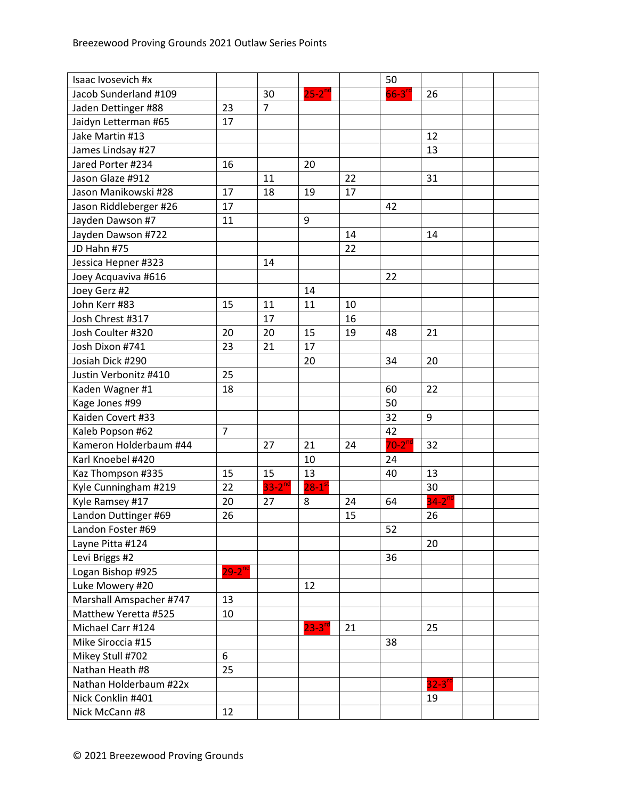| Isaac Ivosevich #x      |                |                |                        |    | 50          |               |  |
|-------------------------|----------------|----------------|------------------------|----|-------------|---------------|--|
| Jacob Sunderland #109   |                | 30             | $25-2$ <sup>nd</sup>   |    | $66 - 3n$   | 26            |  |
| Jaden Dettinger #88     | 23             | $\overline{7}$ |                        |    |             |               |  |
| Jaidyn Letterman #65    | 17             |                |                        |    |             |               |  |
| Jake Martin #13         |                |                |                        |    |             | 12            |  |
| James Lindsay #27       |                |                |                        |    |             | 13            |  |
| Jared Porter #234       | 16             |                | 20                     |    |             |               |  |
| Jason Glaze #912        |                | 11             |                        | 22 |             | 31            |  |
| Jason Manikowski #28    | 17             | 18             | 19                     | 17 |             |               |  |
| Jason Riddleberger #26  | 17             |                |                        |    | 42          |               |  |
| Jayden Dawson #7        | 11             |                | 9                      |    |             |               |  |
| Jayden Dawson #722      |                |                |                        | 14 |             | 14            |  |
| JD Hahn #75             |                |                |                        | 22 |             |               |  |
| Jessica Hepner #323     |                | 14             |                        |    |             |               |  |
| Joey Acquaviva #616     |                |                |                        |    | 22          |               |  |
| Joey Gerz #2            |                |                | 14                     |    |             |               |  |
| John Kerr #83           | 15             | 11             | 11                     | 10 |             |               |  |
| Josh Chrest #317        |                | 17             |                        | 16 |             |               |  |
| Josh Coulter #320       | 20             | 20             | 15                     | 19 | 48          | 21            |  |
| Josh Dixon #741         | 23             | 21             | 17                     |    |             |               |  |
| Josiah Dick #290        |                |                | 20                     |    | 34          | 20            |  |
| Justin Verbonitz #410   | 25             |                |                        |    |             |               |  |
| Kaden Wagner #1         | 18             |                |                        |    | 60          | 22            |  |
| Kage Jones #99          |                |                |                        |    | 50          |               |  |
| Kaiden Covert #33       |                |                |                        |    | 32          | 9             |  |
| Kaleb Popson #62        | $\overline{7}$ |                |                        |    | 42          |               |  |
| Kameron Holderbaum #44  |                | 27             | 21                     | 24 | $70-2^{nd}$ | 32            |  |
| Karl Knoebel #420       |                |                | 10                     |    | 24          |               |  |
| Kaz Thompson #335       | 15             | 15             | 13                     |    | 40          | 13            |  |
| Kyle Cunningham #219    | 22             | $33 - 2^{nd}$  | $28-1$ <sup>s</sup>    |    |             | 30            |  |
| Kyle Ramsey #17         | 20             | 27             | 8                      | 24 | 64          | $34 - 2^{nd}$ |  |
| Landon Duttinger #69    | 26             |                |                        | 15 |             | 26            |  |
| Landon Foster #69       |                |                |                        |    | 52          |               |  |
| Layne Pitta #124        |                |                |                        |    |             | 20            |  |
| Levi Briggs #2          |                |                |                        |    | 36          |               |  |
| Logan Bishop #925       | $29 - 2^{nd}$  |                |                        |    |             |               |  |
| Luke Mowery #20         |                |                | 12                     |    |             |               |  |
| Marshall Amspacher #747 | 13             |                |                        |    |             |               |  |
| Matthew Yeretta #525    | 10             |                |                        |    |             |               |  |
| Michael Carr #124       |                |                | $23 - 3$ <sup>rd</sup> | 21 |             | 25            |  |
| Mike Siroccia #15       |                |                |                        |    | 38          |               |  |
| Mikey Stull #702        | 6              |                |                        |    |             |               |  |
| Nathan Heath #8         | 25             |                |                        |    |             |               |  |
| Nathan Holderbaum #22x  |                |                |                        |    |             | $32 - 3^{10}$ |  |
| Nick Conklin #401       |                |                |                        |    |             | 19            |  |
| Nick McCann #8          | 12             |                |                        |    |             |               |  |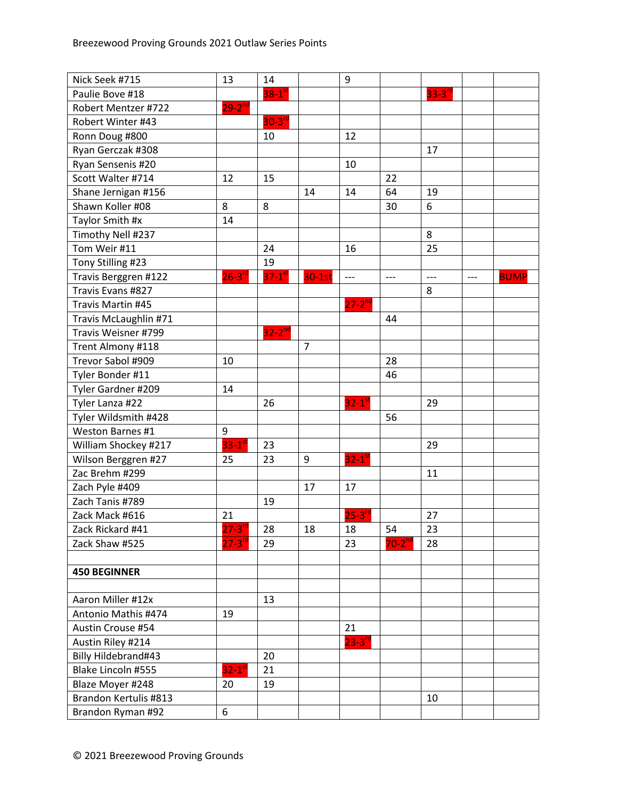| Nick Seek #715        | 13                     | 14                     |                | 9                    |             |                |       |             |
|-----------------------|------------------------|------------------------|----------------|----------------------|-------------|----------------|-------|-------------|
| Paulie Bove #18       |                        | $38 - 1$ <sup>st</sup> |                |                      |             | $33 - 3^{rd}$  |       |             |
| Robert Mentzer #722   | $29 - 2^{nd}$          |                        |                |                      |             |                |       |             |
| Robert Winter #43     |                        | $30-3^{n}$             |                |                      |             |                |       |             |
| Ronn Doug #800        |                        | 10                     |                | 12                   |             |                |       |             |
| Ryan Gerczak #308     |                        |                        |                |                      |             | 17             |       |             |
| Ryan Sensenis #20     |                        |                        |                | 10                   |             |                |       |             |
| Scott Walter #714     | 12                     | 15                     |                |                      | 22          |                |       |             |
| Shane Jernigan #156   |                        |                        | 14             | 14                   | 64          | 19             |       |             |
| Shawn Koller #08      | 8                      | 8                      |                |                      | 30          | 6              |       |             |
| Taylor Smith #x       | 14                     |                        |                |                      |             |                |       |             |
| Timothy Nell #237     |                        |                        |                |                      |             | 8              |       |             |
| Tom Weir #11          |                        | 24                     |                | 16                   |             | 25             |       |             |
| Tony Stilling #23     |                        | 19                     |                |                      |             |                |       |             |
| Travis Berggren #122  | $26-3$ <sup>rc</sup>   | $37 - 1$ <sup>st</sup> | $30-1st$       | $---$                | $---$       | $\overline{a}$ | $---$ | <b>BUMP</b> |
| Travis Evans #827     |                        |                        |                |                      |             | 8              |       |             |
| Travis Martin #45     |                        |                        |                | $27 - 2^{nd}$        |             |                |       |             |
| Travis McLaughlin #71 |                        |                        |                |                      | 44          |                |       |             |
| Travis Weisner #799   |                        | $32 - 2^{nd}$          |                |                      |             |                |       |             |
| Trent Almony #118     |                        |                        | $\overline{7}$ |                      |             |                |       |             |
| Trevor Sabol #909     | 10                     |                        |                |                      | 28          |                |       |             |
| Tyler Bonder #11      |                        |                        |                |                      | 46          |                |       |             |
| Tyler Gardner #209    | 14                     |                        |                |                      |             |                |       |             |
| Tyler Lanza #22       |                        | 26                     |                | $32-1$ <sup>st</sup> |             | 29             |       |             |
| Tyler Wildsmith #428  |                        |                        |                |                      | 56          |                |       |             |
| Weston Barnes #1      | 9                      |                        |                |                      |             |                |       |             |
| William Shockey #217  | $33-1$ <sup>st</sup>   | 23                     |                |                      |             | 29             |       |             |
| Wilson Berggren #27   | 25                     | 23                     | 9              | $32-1$ <sup>st</sup> |             |                |       |             |
| Zac Brehm #299        |                        |                        |                |                      |             | 11             |       |             |
| Zach Pyle #409        |                        |                        | 17             | 17                   |             |                |       |             |
| Zach Tanis #789       |                        | 19                     |                |                      |             |                |       |             |
| Zack Mack #616        | 21                     |                        |                | $25 - 3n$            |             | 27             |       |             |
| Zack Rickard #41      | $27 - 3^{ra}$          | 28                     | 18             | 18                   | 54          | 23             |       |             |
| Zack Shaw #525        | $27 - 3^{rc}$          | 29                     |                | 23                   | $70-2^{nd}$ | 28             |       |             |
|                       |                        |                        |                |                      |             |                |       |             |
| <b>450 BEGINNER</b>   |                        |                        |                |                      |             |                |       |             |
|                       |                        |                        |                |                      |             |                |       |             |
| Aaron Miller #12x     |                        | 13                     |                |                      |             |                |       |             |
| Antonio Mathis #474   | 19                     |                        |                |                      |             |                |       |             |
| Austin Crouse #54     |                        |                        |                | 21                   |             |                |       |             |
| Austin Riley #214     |                        |                        |                | $23 - 3^{rd}$        |             |                |       |             |
| Billy Hildebrand#43   |                        | 20                     |                |                      |             |                |       |             |
| Blake Lincoln #555    | $32 - 1$ <sup>st</sup> | 21                     |                |                      |             |                |       |             |
| Blaze Moyer #248      | 20                     | 19                     |                |                      |             |                |       |             |
| Brandon Kertulis #813 |                        |                        |                |                      |             | 10             |       |             |
| Brandon Ryman #92     | 6                      |                        |                |                      |             |                |       |             |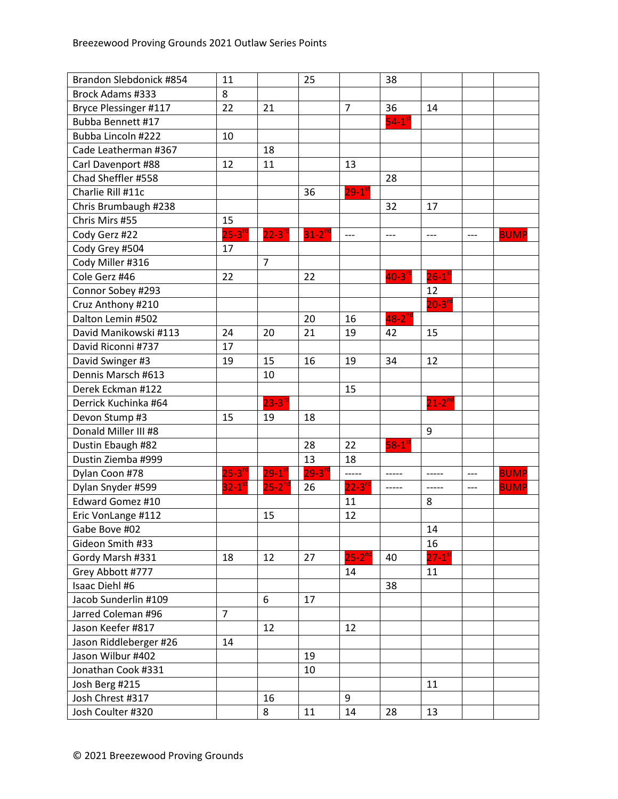| Brandon Slebdonick #854  | 11                     |                        | 25                   |                      | 38                   |                        |       |             |
|--------------------------|------------------------|------------------------|----------------------|----------------------|----------------------|------------------------|-------|-------------|
| Brock Adams #333         | 8                      |                        |                      |                      |                      |                        |       |             |
| Bryce Plessinger #117    | 22                     | 21                     |                      | $\overline{7}$       | 36                   | 14                     |       |             |
| <b>Bubba Bennett #17</b> |                        |                        |                      |                      | $54-1$ <sup>st</sup> |                        |       |             |
| Bubba Lincoln #222       | 10                     |                        |                      |                      |                      |                        |       |             |
| Cade Leatherman #367     |                        | 18                     |                      |                      |                      |                        |       |             |
| Carl Davenport #88       | 12                     | 11                     |                      | 13                   |                      |                        |       |             |
| Chad Sheffler #558       |                        |                        |                      |                      | 28                   |                        |       |             |
| Charlie Rill #11c        |                        |                        | 36                   | $29-1$ <sup>st</sup> |                      |                        |       |             |
| Chris Brumbaugh #238     |                        |                        |                      |                      | 32                   | 17                     |       |             |
| Chris Mirs #55           | 15                     |                        |                      |                      |                      |                        |       |             |
| Cody Gerz #22            | $25-3$ <sup>rd</sup>   | $22-3$ <sup>rd</sup>   | $31-2$ <sup>nd</sup> | $---$                | ---                  | $---$                  | ---   | <b>BUMP</b> |
| Cody Grey #504           | 17                     |                        |                      |                      |                      |                        |       |             |
| Cody Miller #316         |                        | $\overline{7}$         |                      |                      |                      |                        |       |             |
| Cole Gerz #46            | 22                     |                        | 22                   |                      | $40-3$ <sup>rd</sup> | $26-1$ <sup>st</sup>   |       |             |
| Connor Sobey #293        |                        |                        |                      |                      |                      | 12                     |       |             |
| Cruz Anthony #210        |                        |                        |                      |                      |                      | $20-3^{rd}$            |       |             |
| Dalton Lemin #502        |                        |                        | 20                   | 16                   | $48 - 2^{nd}$        |                        |       |             |
| David Manikowski #113    | 24                     | 20                     | 21                   | 19                   | 42                   | 15                     |       |             |
| David Riconni #737       | 17                     |                        |                      |                      |                      |                        |       |             |
| David Swinger #3         | 19                     | 15                     | 16                   | 19                   | 34                   | 12                     |       |             |
| Dennis Marsch #613       |                        | 10                     |                      |                      |                      |                        |       |             |
| Derek Eckman #122        |                        |                        |                      | 15                   |                      |                        |       |             |
| Derrick Kuchinka #64     |                        | $23 - 3^{rc}$          |                      |                      |                      | $21 - 2^{nc}$          |       |             |
| Devon Stump #3           | 15                     | 19                     | 18                   |                      |                      |                        |       |             |
| Donald Miller III #8     |                        |                        |                      |                      |                      | 9                      |       |             |
| Dustin Ebaugh #82        |                        |                        | 28                   | 22                   | $58-1$ <sup>st</sup> |                        |       |             |
| Dustin Ziemba #999       |                        |                        | 13                   | 18                   |                      |                        |       |             |
| Dylan Coon #78           | $25 - 3^{rd}$          | $29 - 1$ <sup>st</sup> | $29 - 3^{10}$        | -----                | -----                | -----                  | $---$ | <b>BUMP</b> |
| Dylan Snyder #599        | $32 - 1$ <sup>st</sup> | $25 - 2^{nd}$          | 26                   | $22 - 3^{10}$        | -----                | -----                  | $---$ | <b>BUMP</b> |
| Edward Gomez #10         |                        |                        |                      | 11                   |                      | 8                      |       |             |
| Eric VonLange #112       |                        | 15                     |                      | 12                   |                      |                        |       |             |
| Gabe Bove #02            |                        |                        |                      |                      |                      | 14                     |       |             |
| Gideon Smith #33         |                        |                        |                      |                      |                      | 16                     |       |             |
| Gordy Marsh #331         | 18                     | 12                     | 27                   | $25 - 2^{nd}$        | 40                   | $27 - 1$ <sup>st</sup> |       |             |
| Grey Abbott #777         |                        |                        |                      | 14                   |                      | 11                     |       |             |
| Isaac Diehl #6           |                        |                        |                      |                      | 38                   |                        |       |             |
| Jacob Sunderlin #109     |                        | 6                      | 17                   |                      |                      |                        |       |             |
| Jarred Coleman #96       | $\overline{7}$         |                        |                      |                      |                      |                        |       |             |
| Jason Keefer #817        |                        | 12                     |                      | 12                   |                      |                        |       |             |
| Jason Riddleberger #26   | 14                     |                        |                      |                      |                      |                        |       |             |
| Jason Wilbur #402        |                        |                        | 19                   |                      |                      |                        |       |             |
| Jonathan Cook #331       |                        |                        | 10                   |                      |                      |                        |       |             |
| Josh Berg #215           |                        |                        |                      |                      |                      | 11                     |       |             |
| Josh Chrest #317         |                        | 16                     |                      | 9                    |                      |                        |       |             |
| Josh Coulter #320        |                        | 8                      | 11                   | 14                   | 28                   | 13                     |       |             |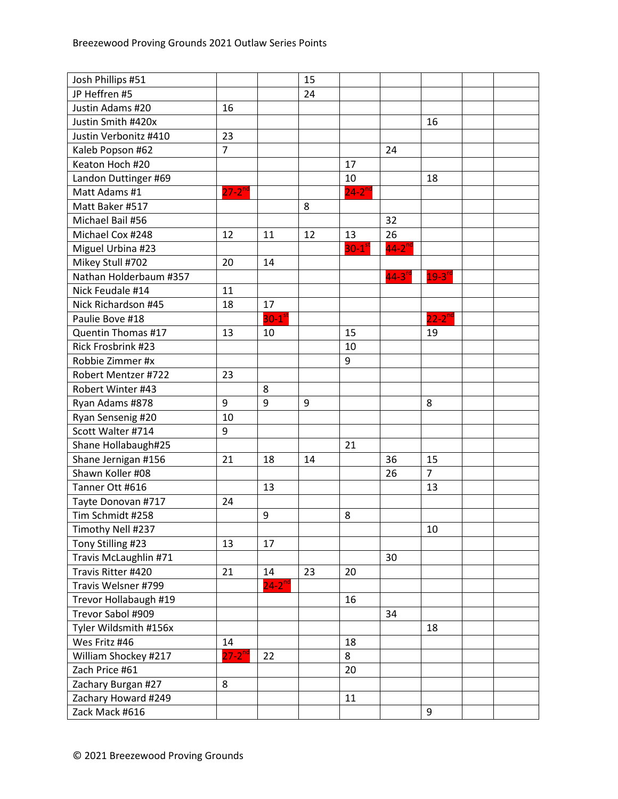| Josh Phillips #51      |                      |                      | 15 |                      |               |                |  |
|------------------------|----------------------|----------------------|----|----------------------|---------------|----------------|--|
| JP Heffren #5          |                      |                      | 24 |                      |               |                |  |
| Justin Adams #20       | 16                   |                      |    |                      |               |                |  |
| Justin Smith #420x     |                      |                      |    |                      |               | 16             |  |
| Justin Verbonitz #410  | 23                   |                      |    |                      |               |                |  |
| Kaleb Popson #62       | $\overline{7}$       |                      |    |                      | 24            |                |  |
| Keaton Hoch #20        |                      |                      |    | 17                   |               |                |  |
| Landon Duttinger #69   |                      |                      |    | 10                   |               | 18             |  |
| Matt Adams #1          | $27-2$ <sup>nd</sup> |                      |    | $24 - 2^{nd}$        |               |                |  |
| Matt Baker #517        |                      |                      | 8  |                      |               |                |  |
| Michael Bail #56       |                      |                      |    |                      | 32            |                |  |
| Michael Cox #248       | 12                   | 11                   | 12 | 13                   | 26            |                |  |
| Miguel Urbina #23      |                      |                      |    | $30-1$ <sup>st</sup> | $44-2^{nd}$   |                |  |
| Mikey Stull #702       | 20                   | 14                   |    |                      |               |                |  |
| Nathan Holderbaum #357 |                      |                      |    |                      | $44 - 3^{rd}$ | $19 - 3^{rd}$  |  |
| Nick Feudale #14       | 11                   |                      |    |                      |               |                |  |
| Nick Richardson #45    | 18                   | 17                   |    |                      |               |                |  |
| Paulie Bove #18        |                      | $30-1$ <sup>st</sup> |    |                      |               | $22 - 2^{nd}$  |  |
| Quentin Thomas #17     | 13                   | 10                   |    | 15                   |               | 19             |  |
| Rick Frosbrink #23     |                      |                      |    | 10                   |               |                |  |
| Robbie Zimmer #x       |                      |                      |    | 9                    |               |                |  |
| Robert Mentzer #722    | 23                   |                      |    |                      |               |                |  |
| Robert Winter #43      |                      | 8                    |    |                      |               |                |  |
| Ryan Adams #878        | 9                    | 9                    | 9  |                      |               | 8              |  |
| Ryan Sensenig #20      | 10                   |                      |    |                      |               |                |  |
| Scott Walter #714      | 9                    |                      |    |                      |               |                |  |
| Shane Hollabaugh#25    |                      |                      |    | 21                   |               |                |  |
| Shane Jernigan #156    | 21                   | 18                   | 14 |                      | 36            | 15             |  |
| Shawn Koller #08       |                      |                      |    |                      | 26            | $\overline{7}$ |  |
| Tanner Ott #616        |                      | 13                   |    |                      |               | 13             |  |
| Tayte Donovan #717     | 24                   |                      |    |                      |               |                |  |
| Tim Schmidt #258       |                      | 9                    |    | 8                    |               |                |  |
| Timothy Nell #237      |                      |                      |    |                      |               | 10             |  |
| Tony Stilling #23      | 13                   | 17                   |    |                      |               |                |  |
| Travis McLaughlin #71  |                      |                      |    |                      | 30            |                |  |
| Travis Ritter #420     | 21                   | 14                   | 23 | 20                   |               |                |  |
| Travis Welsner #799    |                      | $24-2$ <sup>nd</sup> |    |                      |               |                |  |
| Trevor Hollabaugh #19  |                      |                      |    | 16                   |               |                |  |
| Trevor Sabol #909      |                      |                      |    |                      | 34            |                |  |
| Tyler Wildsmith #156x  |                      |                      |    |                      |               | 18             |  |
| Wes Fritz #46          | 14                   |                      |    | 18                   |               |                |  |
| William Shockey #217   | $27 - 2^{nd}$        | 22                   |    | 8                    |               |                |  |
| Zach Price #61         |                      |                      |    | 20                   |               |                |  |
| Zachary Burgan #27     | 8                    |                      |    |                      |               |                |  |
| Zachary Howard #249    |                      |                      |    | 11                   |               |                |  |
| Zack Mack #616         |                      |                      |    |                      |               | 9              |  |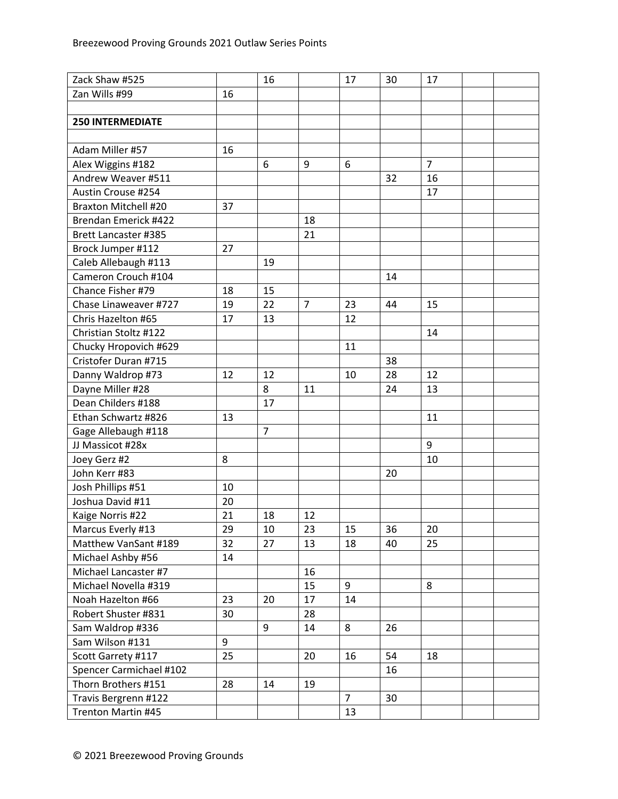| Zack Shaw #525              |    | 16             |                | 17             | 30 | 17             |  |
|-----------------------------|----|----------------|----------------|----------------|----|----------------|--|
| Zan Wills #99               | 16 |                |                |                |    |                |  |
|                             |    |                |                |                |    |                |  |
| <b>250 INTERMEDIATE</b>     |    |                |                |                |    |                |  |
|                             |    |                |                |                |    |                |  |
| Adam Miller #57             | 16 |                |                |                |    |                |  |
| Alex Wiggins #182           |    | 6              | 9              | 6              |    | $\overline{7}$ |  |
| Andrew Weaver #511          |    |                |                |                | 32 | 16             |  |
| Austin Crouse #254          |    |                |                |                |    | 17             |  |
| <b>Braxton Mitchell #20</b> | 37 |                |                |                |    |                |  |
| Brendan Emerick #422        |    |                | 18             |                |    |                |  |
| <b>Brett Lancaster #385</b> |    |                | 21             |                |    |                |  |
| Brock Jumper #112           | 27 |                |                |                |    |                |  |
| Caleb Allebaugh #113        |    | 19             |                |                |    |                |  |
| Cameron Crouch #104         |    |                |                |                | 14 |                |  |
| Chance Fisher #79           | 18 | 15             |                |                |    |                |  |
| Chase Linaweaver #727       | 19 | 22             | $\overline{7}$ | 23             | 44 | 15             |  |
| Chris Hazelton #65          | 17 | 13             |                | 12             |    |                |  |
| Christian Stoltz #122       |    |                |                |                |    | 14             |  |
| Chucky Hropovich #629       |    |                |                | 11             |    |                |  |
| Cristofer Duran #715        |    |                |                |                | 38 |                |  |
| Danny Waldrop #73           | 12 | 12             |                | 10             | 28 | 12             |  |
| Dayne Miller #28            |    | 8              | 11             |                | 24 | 13             |  |
| Dean Childers #188          |    | 17             |                |                |    |                |  |
| Ethan Schwartz #826         | 13 |                |                |                |    | 11             |  |
| Gage Allebaugh #118         |    | $\overline{7}$ |                |                |    |                |  |
| JJ Massicot #28x            |    |                |                |                |    | 9              |  |
| Joey Gerz #2                | 8  |                |                |                |    | 10             |  |
| John Kerr #83               |    |                |                |                | 20 |                |  |
| Josh Phillips #51           | 10 |                |                |                |    |                |  |
| Joshua David #11            | 20 |                |                |                |    |                |  |
| Kaige Norris #22            | 21 | 18             | 12             |                |    |                |  |
| Marcus Everly #13           | 29 | 10             | 23             | 15             | 36 | 20             |  |
| Matthew VanSant #189        | 32 | 27             | 13             | 18             | 40 | 25             |  |
| Michael Ashby #56           | 14 |                |                |                |    |                |  |
| Michael Lancaster #7        |    |                | 16             |                |    |                |  |
| Michael Novella #319        |    |                | 15             | 9              |    | 8              |  |
| Noah Hazelton #66           | 23 | 20             | 17             | 14             |    |                |  |
| Robert Shuster #831         | 30 |                | 28             |                |    |                |  |
| Sam Waldrop #336            |    | 9              | 14             | 8              | 26 |                |  |
| Sam Wilson #131             | 9  |                |                |                |    |                |  |
| Scott Garrety #117          | 25 |                | 20             | 16             | 54 | 18             |  |
| Spencer Carmichael #102     |    |                |                |                | 16 |                |  |
| Thorn Brothers #151         | 28 | 14             | 19             |                |    |                |  |
| Travis Bergrenn #122        |    |                |                | $\overline{7}$ | 30 |                |  |
| Trenton Martin #45          |    |                |                | 13             |    |                |  |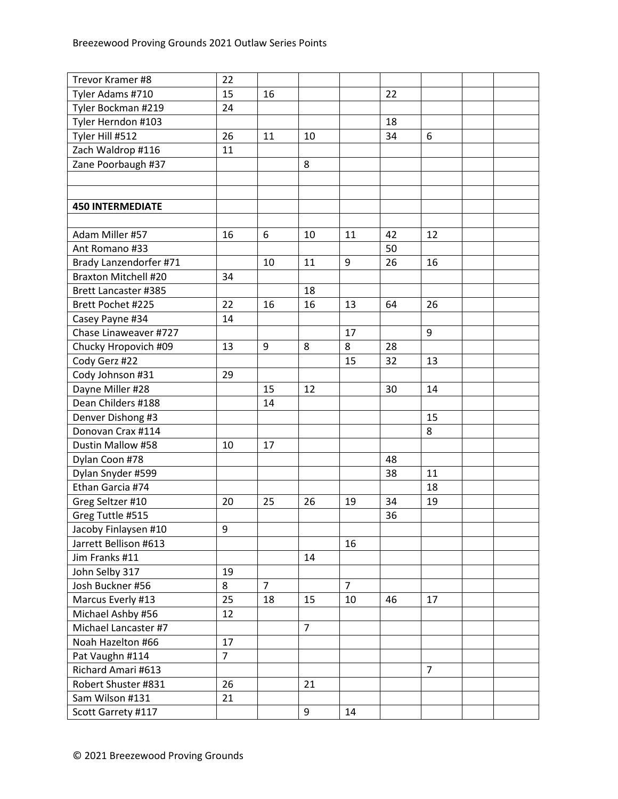| Trevor Kramer #8            | 22             |                |                |                |    |                |  |
|-----------------------------|----------------|----------------|----------------|----------------|----|----------------|--|
| Tyler Adams #710            | 15             | 16             |                |                | 22 |                |  |
| Tyler Bockman #219          | 24             |                |                |                |    |                |  |
| Tyler Herndon #103          |                |                |                |                | 18 |                |  |
| Tyler Hill #512             | 26             | 11             | 10             |                | 34 | 6              |  |
| Zach Waldrop #116           | 11             |                |                |                |    |                |  |
| Zane Poorbaugh #37          |                |                | 8              |                |    |                |  |
|                             |                |                |                |                |    |                |  |
|                             |                |                |                |                |    |                |  |
| <b>450 INTERMEDIATE</b>     |                |                |                |                |    |                |  |
|                             |                |                |                |                |    |                |  |
| Adam Miller #57             | 16             | 6              | 10             | 11             | 42 | 12             |  |
| Ant Romano #33              |                |                |                |                | 50 |                |  |
| Brady Lanzendorfer #71      |                | 10             | 11             | 9              | 26 | 16             |  |
| <b>Braxton Mitchell #20</b> | 34             |                |                |                |    |                |  |
| <b>Brett Lancaster #385</b> |                |                | 18             |                |    |                |  |
| Brett Pochet #225           | 22             | 16             | 16             | 13             | 64 | 26             |  |
| Casey Payne #34             | 14             |                |                |                |    |                |  |
| Chase Linaweaver #727       |                |                |                | 17             |    | 9              |  |
| Chucky Hropovich #09        | 13             | 9              | 8              | 8              | 28 |                |  |
| Cody Gerz #22               |                |                |                | 15             | 32 | 13             |  |
| Cody Johnson #31            | 29             |                |                |                |    |                |  |
| Dayne Miller #28            |                | 15             | 12             |                | 30 | 14             |  |
| Dean Childers #188          |                | 14             |                |                |    |                |  |
| Denver Dishong #3           |                |                |                |                |    | 15             |  |
| Donovan Crax #114           |                |                |                |                |    | 8              |  |
| Dustin Mallow #58           | 10             | 17             |                |                |    |                |  |
| Dylan Coon #78              |                |                |                |                | 48 |                |  |
| Dylan Snyder #599           |                |                |                |                | 38 | 11             |  |
| Ethan Garcia #74            |                |                |                |                |    | 18             |  |
| Greg Seltzer #10            | 20             | 25             | 26             | 19             | 34 | 19             |  |
| Greg Tuttle #515            |                |                |                |                | 36 |                |  |
| Jacoby Finlaysen #10        | 9              |                |                |                |    |                |  |
| Jarrett Bellison #613       |                |                |                | 16             |    |                |  |
| Jim Franks #11              |                |                | 14             |                |    |                |  |
| John Selby 317              | 19             |                |                |                |    |                |  |
| Josh Buckner #56            | 8              | $\overline{7}$ |                | $\overline{7}$ |    |                |  |
| Marcus Everly #13           | 25             | 18             | 15             | 10             | 46 | 17             |  |
| Michael Ashby #56           | 12             |                |                |                |    |                |  |
| Michael Lancaster #7        |                |                | $\overline{7}$ |                |    |                |  |
| Noah Hazelton #66           | 17             |                |                |                |    |                |  |
| Pat Vaughn #114             | $\overline{7}$ |                |                |                |    |                |  |
| Richard Amari #613          |                |                |                |                |    | $\overline{7}$ |  |
| Robert Shuster #831         | 26             |                | 21             |                |    |                |  |
| Sam Wilson #131             | 21             |                |                |                |    |                |  |
| Scott Garrety #117          |                |                | 9              | 14             |    |                |  |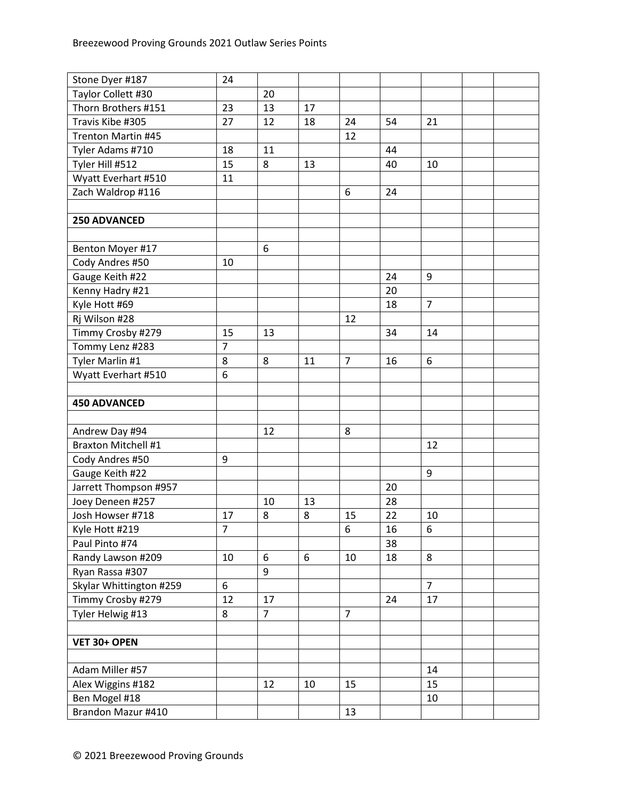| Stone Dyer #187                     | 24             |                |    |                |    |                |  |
|-------------------------------------|----------------|----------------|----|----------------|----|----------------|--|
| Taylor Collett #30                  |                | 20             |    |                |    |                |  |
| Thorn Brothers #151                 | 23             | 13             | 17 |                |    |                |  |
| Travis Kibe #305                    | 27             | 12             | 18 | 24             | 54 | 21             |  |
| Trenton Martin #45                  |                |                |    | 12             |    |                |  |
| Tyler Adams #710                    | 18             | 11             |    |                | 44 |                |  |
| Tyler Hill #512                     | 15             | 8              | 13 |                | 40 | 10             |  |
| Wyatt Everhart #510                 | 11             |                |    |                |    |                |  |
| Zach Waldrop #116                   |                |                |    | 6              | 24 |                |  |
|                                     |                |                |    |                |    |                |  |
| 250 ADVANCED                        |                |                |    |                |    |                |  |
|                                     |                |                |    |                |    |                |  |
| Benton Moyer #17                    |                | 6              |    |                |    |                |  |
| Cody Andres #50                     | 10             |                |    |                |    |                |  |
| Gauge Keith #22                     |                |                |    |                | 24 | 9              |  |
| Kenny Hadry #21                     |                |                |    |                | 20 |                |  |
| Kyle Hott #69                       |                |                |    |                | 18 | 7              |  |
| Rj Wilson #28                       |                |                |    | 12             |    |                |  |
| Timmy Crosby #279                   | 15             | 13             |    |                | 34 | 14             |  |
| Tommy Lenz #283                     | 7              |                |    |                |    |                |  |
| Tyler Marlin #1                     | 8              | 8              | 11 | $\overline{7}$ | 16 | 6              |  |
| Wyatt Everhart #510                 | 6              |                |    |                |    |                |  |
|                                     |                |                |    |                |    |                |  |
| <b>450 ADVANCED</b>                 |                |                |    |                |    |                |  |
|                                     |                |                |    |                |    |                |  |
|                                     |                |                |    |                |    |                |  |
| Andrew Day #94                      |                | 12             |    | 8              |    |                |  |
| <b>Braxton Mitchell #1</b>          |                |                |    |                |    | 12             |  |
| Cody Andres #50                     | 9              |                |    |                |    |                |  |
| Gauge Keith #22                     |                |                |    |                |    | 9              |  |
| Jarrett Thompson #957               |                |                |    |                | 20 |                |  |
| Joey Deneen #257                    |                | 10             | 13 |                | 28 |                |  |
| Josh Howser #718                    | 17             | 8              | 8  | 15             | 22 | 10             |  |
| Kyle Hott #219                      | $\overline{7}$ |                |    | $\,6\,$        | 16 | 6              |  |
| Paul Pinto #74                      |                |                |    |                | 38 |                |  |
| Randy Lawson #209                   | 10             | 6              | 6  | 10             | 18 | 8              |  |
| Ryan Rassa #307                     |                | 9              |    |                |    |                |  |
| Skylar Whittington #259             | 6              |                |    |                |    | $\overline{7}$ |  |
| Timmy Crosby #279                   | 12             | 17             |    |                | 24 | 17             |  |
| Tyler Helwig #13                    | 8              | $\overline{7}$ |    | $\overline{7}$ |    |                |  |
|                                     |                |                |    |                |    |                |  |
| VET 30+ OPEN                        |                |                |    |                |    |                |  |
|                                     |                |                |    |                |    |                |  |
| Adam Miller #57                     |                |                |    |                |    | 14             |  |
| Alex Wiggins #182                   |                | 12             | 10 | 15             |    | 15             |  |
| Ben Mogel #18<br>Brandon Mazur #410 |                |                |    | 13             |    | 10             |  |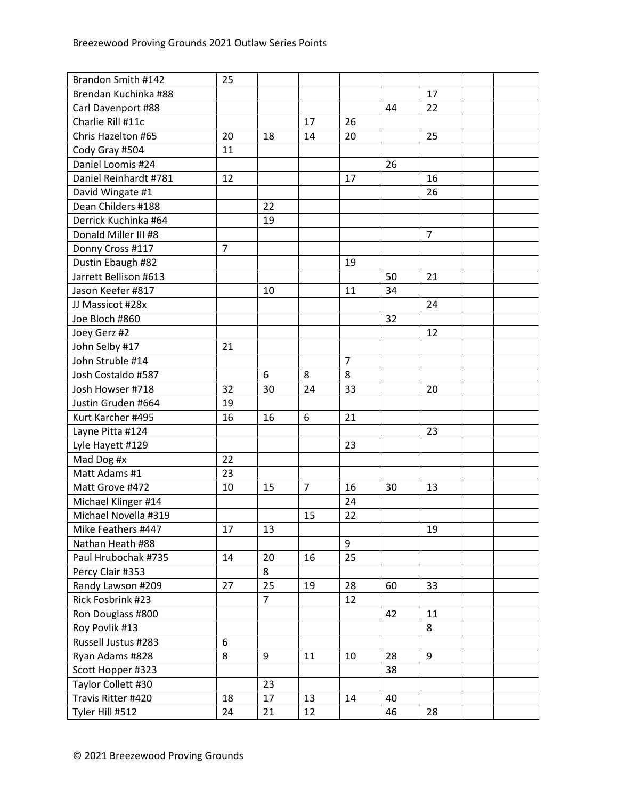| Brandon Smith #142    | 25             |                |                |                |    |                |  |
|-----------------------|----------------|----------------|----------------|----------------|----|----------------|--|
| Brendan Kuchinka #88  |                |                |                |                |    | 17             |  |
| Carl Davenport #88    |                |                |                |                | 44 | 22             |  |
| Charlie Rill #11c     |                |                | 17             | 26             |    |                |  |
| Chris Hazelton #65    | 20             | 18             | 14             | 20             |    | 25             |  |
| Cody Gray #504        | 11             |                |                |                |    |                |  |
| Daniel Loomis #24     |                |                |                |                | 26 |                |  |
| Daniel Reinhardt #781 | 12             |                |                | 17             |    | 16             |  |
| David Wingate #1      |                |                |                |                |    | 26             |  |
| Dean Childers #188    |                | 22             |                |                |    |                |  |
| Derrick Kuchinka #64  |                | 19             |                |                |    |                |  |
| Donald Miller III #8  |                |                |                |                |    | $\overline{7}$ |  |
| Donny Cross #117      | $\overline{7}$ |                |                |                |    |                |  |
| Dustin Ebaugh #82     |                |                |                | 19             |    |                |  |
| Jarrett Bellison #613 |                |                |                |                | 50 | 21             |  |
| Jason Keefer #817     |                | 10             |                | 11             | 34 |                |  |
| JJ Massicot #28x      |                |                |                |                |    | 24             |  |
| Joe Bloch #860        |                |                |                |                | 32 |                |  |
| Joey Gerz #2          |                |                |                |                |    | 12             |  |
| John Selby #17        | 21             |                |                |                |    |                |  |
| John Struble #14      |                |                |                | $\overline{7}$ |    |                |  |
| Josh Costaldo #587    |                | 6              | 8              | 8              |    |                |  |
| Josh Howser #718      | 32             | 30             | 24             | 33             |    | 20             |  |
| Justin Gruden #664    | 19             |                |                |                |    |                |  |
| Kurt Karcher #495     | 16             | 16             | 6              | 21             |    |                |  |
| Layne Pitta #124      |                |                |                |                |    | 23             |  |
| Lyle Hayett #129      |                |                |                | 23             |    |                |  |
| Mad Dog #x            | 22             |                |                |                |    |                |  |
| Matt Adams #1         | 23             |                |                |                |    |                |  |
| Matt Grove #472       | 10             | 15             | $\overline{7}$ | 16             | 30 | 13             |  |
| Michael Klinger #14   |                |                |                | 24             |    |                |  |
| Michael Novella #319  |                |                | 15             | 22             |    |                |  |
| Mike Feathers #447    | 17             | 13             |                |                |    | 19             |  |
| Nathan Heath #88      |                |                |                | 9              |    |                |  |
| Paul Hrubochak #735   | 14             | 20             | 16             | 25             |    |                |  |
| Percy Clair #353      |                | 8              |                |                |    |                |  |
| Randy Lawson #209     | 27             | 25             | 19             | 28             | 60 | 33             |  |
| Rick Fosbrink #23     |                | $\overline{7}$ |                | 12             |    |                |  |
| Ron Douglass #800     |                |                |                |                | 42 | 11             |  |
| Roy Povlik #13        |                |                |                |                |    | 8              |  |
| Russell Justus #283   | 6              |                |                |                |    |                |  |
| Ryan Adams #828       | 8              | 9              | 11             | 10             | 28 | 9              |  |
| Scott Hopper #323     |                |                |                |                | 38 |                |  |
| Taylor Collett #30    |                | 23             |                |                |    |                |  |
| Travis Ritter #420    | 18             | 17             | 13             | 14             | 40 |                |  |
| Tyler Hill #512       | 24             | 21             | 12             |                | 46 | 28             |  |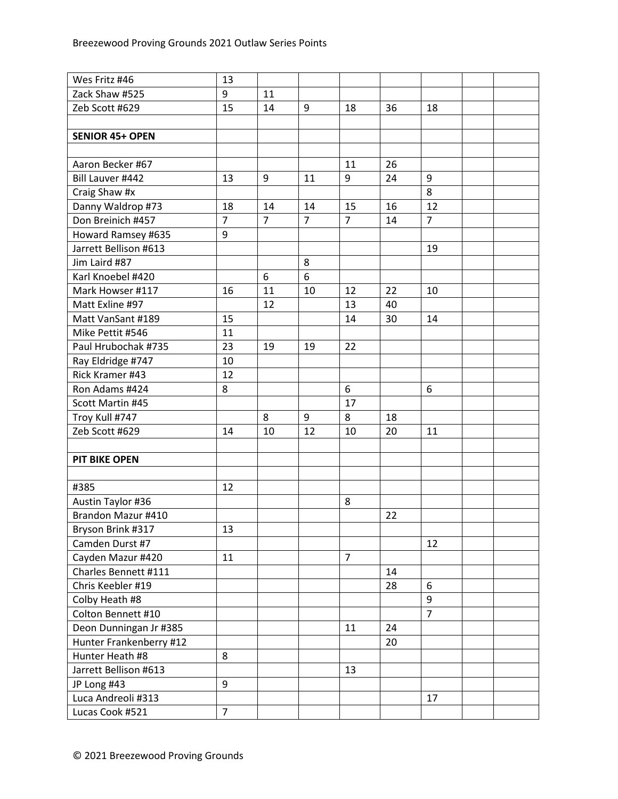| Wes Fritz #46           | 13             |                |                |                |    |                |  |
|-------------------------|----------------|----------------|----------------|----------------|----|----------------|--|
| Zack Shaw #525          | 9              | 11             |                |                |    |                |  |
| Zeb Scott #629          | 15             | 14             | 9              | 18             | 36 | 18             |  |
|                         |                |                |                |                |    |                |  |
| <b>SENIOR 45+ OPEN</b>  |                |                |                |                |    |                |  |
|                         |                |                |                |                |    |                |  |
| Aaron Becker #67        |                |                |                | 11             | 26 |                |  |
| Bill Lauver #442        | 13             | 9              | 11             | 9              | 24 | 9              |  |
| Craig Shaw #x           |                |                |                |                |    | 8              |  |
| Danny Waldrop #73       | 18             | 14             | 14             | 15             | 16 | 12             |  |
| Don Breinich #457       | $\overline{7}$ | $\overline{7}$ | $\overline{7}$ | $\overline{7}$ | 14 | $\overline{7}$ |  |
| Howard Ramsey #635      | 9              |                |                |                |    |                |  |
| Jarrett Bellison #613   |                |                |                |                |    | 19             |  |
| Jim Laird #87           |                |                | 8              |                |    |                |  |
| Karl Knoebel #420       |                | 6              | 6              |                |    |                |  |
| Mark Howser #117        | 16             | 11             | 10             | 12             | 22 | 10             |  |
| Matt Exline #97         |                | 12             |                | 13             | 40 |                |  |
| Matt VanSant #189       | 15             |                |                | 14             | 30 | 14             |  |
| Mike Pettit #546        | 11             |                |                |                |    |                |  |
| Paul Hrubochak #735     | 23             | 19             | 19             | 22             |    |                |  |
| Ray Eldridge #747       | 10             |                |                |                |    |                |  |
| Rick Kramer #43         | 12             |                |                |                |    |                |  |
| Ron Adams #424          | 8              |                |                | 6              |    | 6              |  |
| Scott Martin #45        |                |                |                | 17             |    |                |  |
| Troy Kull #747          |                | 8              | 9              | 8              | 18 |                |  |
| Zeb Scott #629          | 14             | 10             | 12             | 10             | 20 | 11             |  |
|                         |                |                |                |                |    |                |  |
| <b>PIT BIKE OPEN</b>    |                |                |                |                |    |                |  |
|                         |                |                |                |                |    |                |  |
| #385                    | 12             |                |                |                |    |                |  |
| Austin Taylor #36       |                |                |                | 8              |    |                |  |
| Brandon Mazur #410      |                |                |                |                | 22 |                |  |
| Bryson Brink #317       | 13             |                |                |                |    |                |  |
| Camden Durst #7         |                |                |                |                |    | 12             |  |
| Cayden Mazur #420       | 11             |                |                | $\overline{7}$ |    |                |  |
| Charles Bennett #111    |                |                |                |                | 14 |                |  |
| Chris Keebler #19       |                |                |                |                | 28 | 6              |  |
| Colby Heath #8          |                |                |                |                |    | 9              |  |
| Colton Bennett #10      |                |                |                |                |    | $\overline{7}$ |  |
| Deon Dunningan Jr #385  |                |                |                | 11             | 24 |                |  |
|                         |                |                |                |                | 20 |                |  |
| Hunter Frankenberry #12 |                |                |                |                |    |                |  |
| Hunter Heath #8         | 8              |                |                |                |    |                |  |
| Jarrett Bellison #613   |                |                |                | 13             |    |                |  |
| JP Long #43             | 9              |                |                |                |    |                |  |
| Luca Andreoli #313      |                |                |                |                |    | 17             |  |
| Lucas Cook #521         | $\overline{7}$ |                |                |                |    |                |  |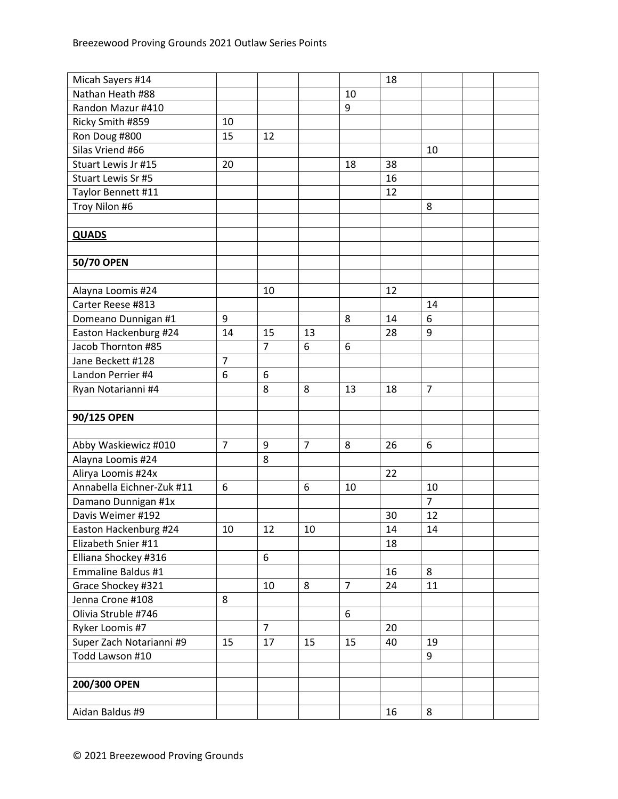| Micah Sayers #14          |                |                |                |                | 18 |                |  |
|---------------------------|----------------|----------------|----------------|----------------|----|----------------|--|
| Nathan Heath #88          |                |                |                | 10             |    |                |  |
| Randon Mazur #410         |                |                |                | 9              |    |                |  |
| Ricky Smith #859          | 10             |                |                |                |    |                |  |
| Ron Doug #800             | 15             | 12             |                |                |    |                |  |
| Silas Vriend #66          |                |                |                |                |    | 10             |  |
| Stuart Lewis Jr #15       | 20             |                |                | 18             | 38 |                |  |
| Stuart Lewis Sr #5        |                |                |                |                | 16 |                |  |
| Taylor Bennett #11        |                |                |                |                | 12 |                |  |
| Troy Nilon #6             |                |                |                |                |    | 8              |  |
|                           |                |                |                |                |    |                |  |
| <b>QUADS</b>              |                |                |                |                |    |                |  |
|                           |                |                |                |                |    |                |  |
| 50/70 OPEN                |                |                |                |                |    |                |  |
|                           |                |                |                |                |    |                |  |
| Alayna Loomis #24         |                | 10             |                |                | 12 |                |  |
| Carter Reese #813         |                |                |                |                |    | 14             |  |
| Domeano Dunnigan #1       | 9              |                |                | 8              | 14 | 6              |  |
| Easton Hackenburg #24     | 14             | 15             | 13             |                | 28 | 9              |  |
| Jacob Thornton #85        |                | $\overline{7}$ | 6              | 6              |    |                |  |
| Jane Beckett #128         | $\overline{7}$ |                |                |                |    |                |  |
| Landon Perrier #4         | 6              | 6              |                |                |    |                |  |
| Ryan Notarianni #4        |                | 8              | 8              | 13             | 18 | $\overline{7}$ |  |
|                           |                |                |                |                |    |                |  |
| 90/125 OPEN               |                |                |                |                |    |                |  |
|                           |                |                |                |                |    |                |  |
| Abby Waskiewicz #010      | $\overline{7}$ | 9              | $\overline{7}$ | 8              | 26 | 6              |  |
| Alayna Loomis #24         |                | 8              |                |                |    |                |  |
| Alirya Loomis #24x        |                |                |                |                | 22 |                |  |
| Annabella Eichner-Zuk #11 | 6              |                | 6              | 10             |    | 10             |  |
| Damano Dunnigan #1x       |                |                |                |                |    | $\overline{7}$ |  |
| Davis Weimer #192         |                |                |                |                | 30 | 12             |  |
| Easton Hackenburg #24     | 10             | 12             | 10             |                | 14 | 14             |  |
| Elizabeth Snier #11       |                |                |                |                | 18 |                |  |
| Elliana Shockey #316      |                | 6              |                |                |    |                |  |
| Emmaline Baldus #1        |                |                |                |                | 16 | 8              |  |
| Grace Shockey #321        |                | 10             | 8              | $\overline{7}$ | 24 | 11             |  |
| Jenna Crone #108          | 8              |                |                |                |    |                |  |
| Olivia Struble #746       |                |                |                | 6              |    |                |  |
| Ryker Loomis #7           |                | $\overline{7}$ |                |                | 20 |                |  |
| Super Zach Notarianni #9  | 15             | 17             | 15             | 15             | 40 | 19             |  |
| Todd Lawson #10           |                |                |                |                |    | 9              |  |
|                           |                |                |                |                |    |                |  |
| 200/300 OPEN              |                |                |                |                |    |                |  |
|                           |                |                |                |                |    |                |  |
| Aidan Baldus #9           |                |                |                |                | 16 | 8              |  |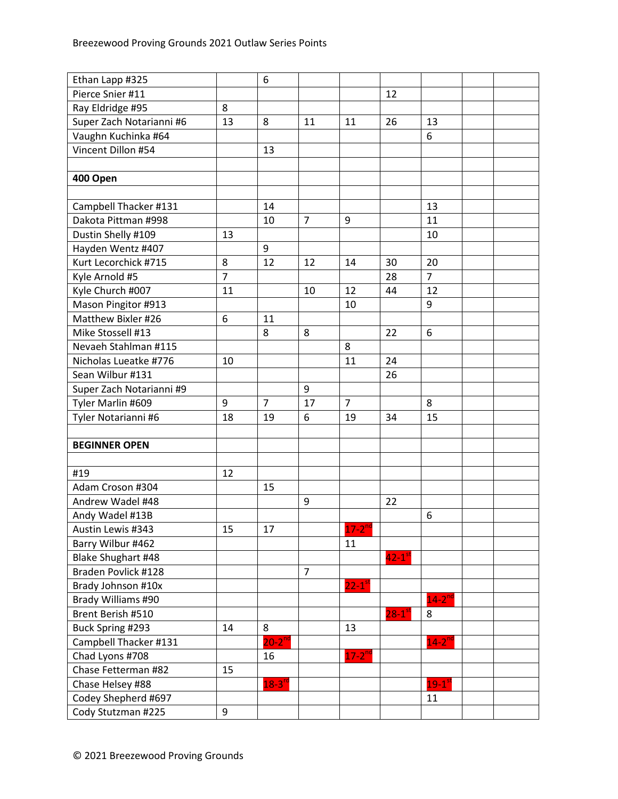| Ethan Lapp #325          |                | 6                    |                |                      |                      |                      |  |
|--------------------------|----------------|----------------------|----------------|----------------------|----------------------|----------------------|--|
| Pierce Snier #11         |                |                      |                |                      | 12                   |                      |  |
| Ray Eldridge #95         | 8              |                      |                |                      |                      |                      |  |
| Super Zach Notarianni #6 | 13             | 8                    | 11             | 11                   | 26                   | 13                   |  |
| Vaughn Kuchinka #64      |                |                      |                |                      |                      | 6                    |  |
| Vincent Dillon #54       |                | 13                   |                |                      |                      |                      |  |
|                          |                |                      |                |                      |                      |                      |  |
| 400 Open                 |                |                      |                |                      |                      |                      |  |
|                          |                |                      |                |                      |                      |                      |  |
| Campbell Thacker #131    |                | 14                   |                |                      |                      | 13                   |  |
| Dakota Pittman #998      |                | 10                   | $\overline{7}$ | 9                    |                      | 11                   |  |
| Dustin Shelly #109       | 13             |                      |                |                      |                      | 10                   |  |
| Hayden Wentz #407        |                | 9                    |                |                      |                      |                      |  |
| Kurt Lecorchick #715     | 8              | 12                   | 12             | 14                   | 30                   | 20                   |  |
| Kyle Arnold #5           | $\overline{7}$ |                      |                |                      | 28                   | $\overline{7}$       |  |
| Kyle Church #007         | 11             |                      | 10             | 12                   | 44                   | 12                   |  |
| Mason Pingitor #913      |                |                      |                | 10                   |                      | 9                    |  |
| Matthew Bixler #26       | 6              | 11                   |                |                      |                      |                      |  |
| Mike Stossell #13        |                | 8                    | 8              |                      | 22                   | 6                    |  |
| Nevaeh Stahlman #115     |                |                      |                | 8                    |                      |                      |  |
| Nicholas Lueatke #776    | 10             |                      |                | 11                   | 24                   |                      |  |
| Sean Wilbur #131         |                |                      |                |                      | 26                   |                      |  |
| Super Zach Notarianni #9 |                |                      | 9              |                      |                      |                      |  |
| Tyler Marlin #609        | 9              | $\overline{7}$       | 17             | $\overline{7}$       |                      | 8                    |  |
| Tyler Notarianni #6      | 18             | 19                   | 6              | 19                   | 34                   | 15                   |  |
|                          |                |                      |                |                      |                      |                      |  |
| <b>BEGINNER OPEN</b>     |                |                      |                |                      |                      |                      |  |
|                          |                |                      |                |                      |                      |                      |  |
| #19                      | 12             |                      |                |                      |                      |                      |  |
| Adam Croson #304         |                | 15                   |                |                      |                      |                      |  |
| Andrew Wadel #48         |                |                      | 9              |                      | 22                   |                      |  |
| Andy Wadel #13B          |                |                      |                |                      |                      | 6                    |  |
| Austin Lewis #343        | 15             | 17                   |                | $17 - 2^{nd}$        |                      |                      |  |
| Barry Wilbur #462        |                |                      |                | 11                   |                      |                      |  |
| Blake Shughart #48       |                |                      |                |                      | $42-1$ <sup>st</sup> |                      |  |
| Braden Povlick #128      |                |                      | $\overline{7}$ |                      |                      |                      |  |
| Brady Johnson #10x       |                |                      |                | $22-1$ <sup>st</sup> |                      |                      |  |
| Brady Williams #90       |                |                      |                |                      |                      | $14-2^{nc}$          |  |
| Brent Berish #510        |                |                      |                |                      | $28-1$ <sup>st</sup> | 8                    |  |
| Buck Spring #293         | 14             | 8                    |                | 13                   |                      |                      |  |
| Campbell Thacker #131    |                | $20 - 2^{nd}$        |                |                      |                      | $14 - 2^{nd}$        |  |
| Chad Lyons #708          |                | 16                   |                | $17 - 2^{nd}$        |                      |                      |  |
| Chase Fetterman #82      | 15             |                      |                |                      |                      |                      |  |
| Chase Helsey #88         |                | $18-3$ <sup>rc</sup> |                |                      |                      | $19-1$ <sup>st</sup> |  |
| Codey Shepherd #697      |                |                      |                |                      |                      | 11                   |  |
| Cody Stutzman #225       | 9              |                      |                |                      |                      |                      |  |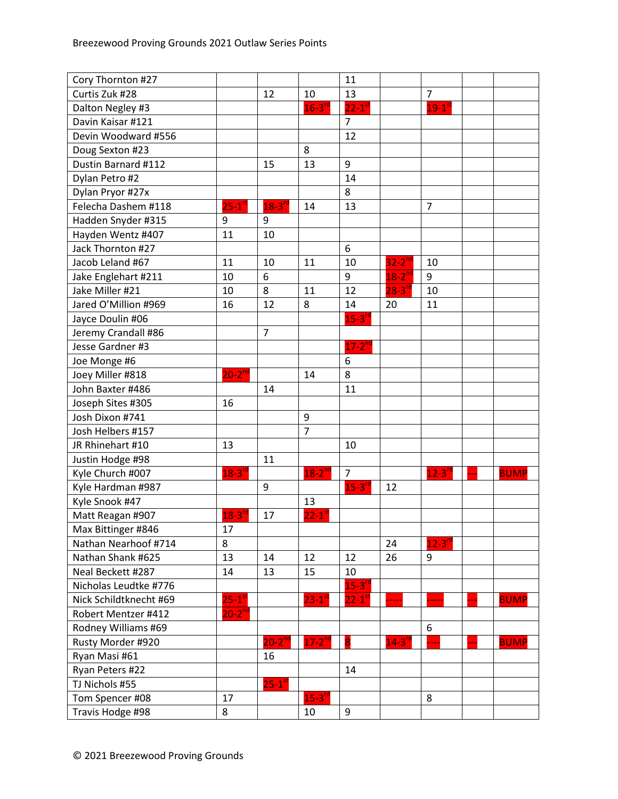| Cory Thornton #27      |                      |                        |                      | 11                   |                      |                      |             |
|------------------------|----------------------|------------------------|----------------------|----------------------|----------------------|----------------------|-------------|
| Curtis Zuk #28         |                      | 12                     | 10                   | 13                   |                      | $\overline{7}$       |             |
| Dalton Negley #3       |                      |                        | $16 - 3^{r}$         | $22-1$ <sup>st</sup> |                      | $19-1$ <sup>st</sup> |             |
| Davin Kaisar #121      |                      |                        |                      | $\overline{7}$       |                      |                      |             |
| Devin Woodward #556    |                      |                        |                      | 12                   |                      |                      |             |
| Doug Sexton #23        |                      |                        | 8                    |                      |                      |                      |             |
| Dustin Barnard #112    |                      | 15                     | 13                   | 9                    |                      |                      |             |
| Dylan Petro #2         |                      |                        |                      | 14                   |                      |                      |             |
| Dylan Pryor #27x       |                      |                        |                      | 8                    |                      |                      |             |
| Felecha Dashem #118    | $25-1$ <sup>st</sup> | $18-3$ <sup>rd</sup>   | 14                   | 13                   |                      | $\overline{7}$       |             |
| Hadden Snyder #315     | 9                    | 9                      |                      |                      |                      |                      |             |
| Hayden Wentz #407      | 11                   | 10                     |                      |                      |                      |                      |             |
| Jack Thornton #27      |                      |                        |                      | 6                    |                      |                      |             |
| Jacob Leland #67       | 11                   | 10                     | 11                   | 10                   | $32-2^{nd}$          | 10                   |             |
| Jake Englehart #211    | 10                   | 6                      |                      | 9                    | $18-2^{nd}$          | 9                    |             |
| Jake Miller #21        | 10                   | 8                      | 11                   | 12                   | $28 - 3^{10}$        | 10                   |             |
| Jared O'Million #969   | 16                   | 12                     | 8                    | 14                   | 20                   | 11                   |             |
| Jayce Doulin #06       |                      |                        |                      | $15-3$ <sup>rc</sup> |                      |                      |             |
| Jeremy Crandall #86    |                      | $\overline{7}$         |                      |                      |                      |                      |             |
| Jesse Gardner #3       |                      |                        |                      | $17 - 2^{nd}$        |                      |                      |             |
| Joe Monge #6           |                      |                        |                      | 6                    |                      |                      |             |
| Joey Miller #818       | $20-2^{nd}$          |                        | 14                   | 8                    |                      |                      |             |
| John Baxter #486       |                      | 14                     |                      | 11                   |                      |                      |             |
| Joseph Sites #305      | 16                   |                        |                      |                      |                      |                      |             |
| Josh Dixon #741        |                      |                        | 9                    |                      |                      |                      |             |
| Josh Helbers #157      |                      |                        | $\overline{7}$       |                      |                      |                      |             |
| JR Rhinehart #10       | 13                   |                        |                      | 10                   |                      |                      |             |
| Justin Hodge #98       |                      | 11                     |                      |                      |                      |                      |             |
| Kyle Church #007       | $18-3^{rd}$          |                        | $18-2$ <sup>nd</sup> | $\overline{7}$       |                      | $12-3$ <sup>rd</sup> | <b>BUMP</b> |
| Kyle Hardman #987      |                      | 9                      |                      | $15-3$ <sup>rc</sup> | 12                   |                      |             |
| Kyle Snook #47         |                      |                        | 13                   |                      |                      |                      |             |
| Matt Reagan #907       | $18-3$ <sup>rd</sup> | 17                     | $22-1$ <sup>st</sup> |                      |                      |                      |             |
| Max Bittinger #846     | 17                   |                        |                      |                      |                      |                      |             |
| Nathan Nearhoof #714   | 8                    |                        |                      |                      | 24                   | $12-3$ <sup>rd</sup> |             |
| Nathan Shank #625      | 13                   | 14                     | 12                   | 12                   | 26                   | 9                    |             |
| Neal Beckett #287      | 14                   | 13                     | 15                   | 10                   |                      |                      |             |
| Nicholas Leudtke #776  |                      |                        |                      | $15 - 3^{n}$         |                      |                      |             |
| Nick Schildtknecht #69 | $25-1$ <sup>st</sup> |                        | $23-1$ <sup>s</sup>  | $22 - 1^s$           |                      |                      | <b>BUMP</b> |
| Robert Mentzer #412    | $20-2^{nd}$          |                        |                      |                      |                      |                      |             |
| Rodney Williams #69    |                      |                        |                      |                      |                      | 6                    |             |
| Rusty Morder #920      |                      | $20-2^{nd}$            | $17-2$ <sup>nd</sup> | 8                    | $14-3$ <sup>rc</sup> |                      | <b>BUMP</b> |
| Ryan Masi #61          |                      | 16                     |                      |                      |                      |                      |             |
| Ryan Peters #22        |                      |                        |                      | 14                   |                      |                      |             |
| TJ Nichols #55         |                      | $25 - 1$ <sup>st</sup> |                      |                      |                      |                      |             |
| Tom Spencer #08        | 17                   |                        | $15-3$ <sup>rd</sup> |                      |                      | 8                    |             |
| Travis Hodge #98       | 8                    |                        | 10                   | 9                    |                      |                      |             |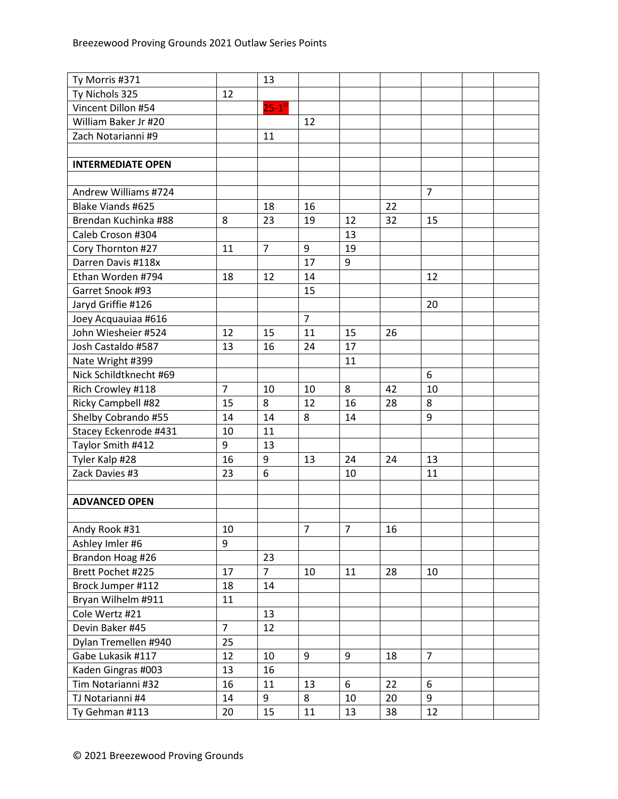| Ty Morris #371           |                | 13                   |                |    |    |                |  |
|--------------------------|----------------|----------------------|----------------|----|----|----------------|--|
| Ty Nichols 325           | 12             |                      |                |    |    |                |  |
| Vincent Dillon #54       |                | $25-1$ <sup>st</sup> |                |    |    |                |  |
| William Baker Jr #20     |                |                      | 12             |    |    |                |  |
| Zach Notarianni #9       |                | 11                   |                |    |    |                |  |
|                          |                |                      |                |    |    |                |  |
| <b>INTERMEDIATE OPEN</b> |                |                      |                |    |    |                |  |
|                          |                |                      |                |    |    |                |  |
| Andrew Williams #724     |                |                      |                |    |    | $\overline{7}$ |  |
| Blake Viands #625        |                | 18                   | 16             |    | 22 |                |  |
| Brendan Kuchinka #88     | 8              | 23                   | 19             | 12 | 32 | 15             |  |
| Caleb Croson #304        |                |                      |                | 13 |    |                |  |
| Cory Thornton #27        | 11             | $\overline{7}$       | 9              | 19 |    |                |  |
| Darren Davis #118x       |                |                      | 17             | 9  |    |                |  |
| Ethan Worden #794        | 18             | 12                   | 14             |    |    | 12             |  |
| Garret Snook #93         |                |                      | 15             |    |    |                |  |
| Jaryd Griffie #126       |                |                      |                |    |    | 20             |  |
| Joey Acquauiaa #616      |                |                      | $\overline{7}$ |    |    |                |  |
| John Wiesheier #524      | 12             | 15                   | 11             | 15 | 26 |                |  |
| Josh Castaldo #587       | 13             | 16                   | 24             | 17 |    |                |  |
| Nate Wright #399         |                |                      |                | 11 |    |                |  |
| Nick Schildtknecht #69   |                |                      |                |    |    | 6              |  |
| Rich Crowley #118        | $\overline{7}$ | 10                   | 10             | 8  | 42 | 10             |  |
| Ricky Campbell #82       | 15             | 8                    | 12             | 16 | 28 | 8              |  |
| Shelby Cobrando #55      | 14             | 14                   | 8              | 14 |    | 9              |  |
| Stacey Eckenrode #431    | 10             | 11                   |                |    |    |                |  |
| Taylor Smith #412        | 9              | 13                   |                |    |    |                |  |
| Tyler Kalp #28           | 16             | 9                    | 13             | 24 | 24 | 13             |  |
| Zack Davies #3           | 23             | 6                    |                | 10 |    | 11             |  |
|                          |                |                      |                |    |    |                |  |
| <b>ADVANCED OPEN</b>     |                |                      |                |    |    |                |  |
|                          |                |                      |                |    |    |                |  |
| Andy Rook #31            | 10             |                      | 7              | 7  | 16 |                |  |
| Ashley Imler #6          | 9              |                      |                |    |    |                |  |
| Brandon Hoag #26         |                | 23                   |                |    |    |                |  |
| Brett Pochet #225        | 17             | 7 <sup>1</sup>       | 10             | 11 | 28 | 10             |  |
| Brock Jumper #112        | 18             | 14                   |                |    |    |                |  |
| Bryan Wilhelm #911       | 11             |                      |                |    |    |                |  |
| Cole Wertz #21           |                | 13                   |                |    |    |                |  |
| Devin Baker #45          | $\overline{7}$ | 12                   |                |    |    |                |  |
| Dylan Tremellen #940     | 25             |                      |                |    |    |                |  |
| Gabe Lukasik #117        | 12             | 10                   | 9              | 9  | 18 | $\overline{7}$ |  |
| Kaden Gingras #003       | 13             | 16                   |                |    |    |                |  |
| Tim Notarianni #32       | 16             | 11                   | 13             | 6  | 22 | 6              |  |
| TJ Notarianni #4         | 14             | 9                    | 8              | 10 | 20 | 9              |  |
| Ty Gehman #113           | 20             | 15                   | 11             | 13 | 38 | 12             |  |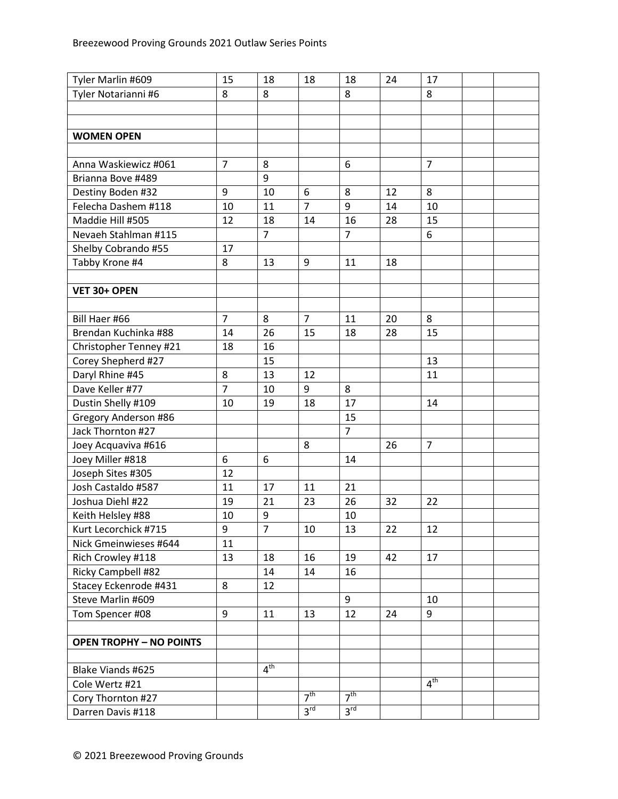| Tyler Marlin #609              | 15             | 18              | 18              | 18              | 24 | 17              |  |
|--------------------------------|----------------|-----------------|-----------------|-----------------|----|-----------------|--|
| Tyler Notarianni #6            | 8              | 8               |                 | 8               |    | 8               |  |
|                                |                |                 |                 |                 |    |                 |  |
|                                |                |                 |                 |                 |    |                 |  |
| <b>WOMEN OPEN</b>              |                |                 |                 |                 |    |                 |  |
|                                |                |                 |                 |                 |    |                 |  |
| Anna Waskiewicz #061           | $\overline{7}$ | 8               |                 | 6               |    | $\overline{7}$  |  |
| Brianna Bove #489              |                | 9               |                 |                 |    |                 |  |
| Destiny Boden #32              | 9              | 10              | 6               | 8               | 12 | 8               |  |
| Felecha Dashem #118            | 10             | 11              | $\overline{7}$  | 9               | 14 | 10              |  |
| Maddie Hill #505               | 12             | 18              | 14              | 16              | 28 | 15              |  |
| Nevaeh Stahlman #115           |                | $\overline{7}$  |                 | $\overline{7}$  |    | 6               |  |
| Shelby Cobrando #55            | 17             |                 |                 |                 |    |                 |  |
| Tabby Krone #4                 | 8              | 13              | 9               | 11              | 18 |                 |  |
|                                |                |                 |                 |                 |    |                 |  |
| VET 30+ OPEN                   |                |                 |                 |                 |    |                 |  |
|                                |                |                 |                 |                 |    |                 |  |
| Bill Haer #66                  | $\overline{7}$ | 8               | $\overline{7}$  | 11              | 20 | 8               |  |
| Brendan Kuchinka #88           | 14             | 26              | 15              | 18              | 28 | 15              |  |
| Christopher Tenney #21         | 18             | 16              |                 |                 |    |                 |  |
| Corey Shepherd #27             |                | 15              |                 |                 |    | 13              |  |
| Daryl Rhine #45                | 8              | 13              | 12              |                 |    | 11              |  |
| Dave Keller #77                | $\overline{7}$ | 10              | 9               | 8               |    |                 |  |
| Dustin Shelly #109             | 10             | 19              | 18              | 17              |    | 14              |  |
| Gregory Anderson #86           |                |                 |                 | 15              |    |                 |  |
| Jack Thornton #27              |                |                 |                 | $\overline{7}$  |    |                 |  |
| Joey Acquaviva #616            |                |                 | 8               |                 | 26 | $\overline{7}$  |  |
| Joey Miller #818               | 6              | 6               |                 | 14              |    |                 |  |
| Joseph Sites #305              | 12             |                 |                 |                 |    |                 |  |
| Josh Castaldo #587             | 11             | 17              | 11              | 21              |    |                 |  |
| Joshua Diehl #22               | 19             | 21              | 23              | 26              | 32 | 22              |  |
| Keith Helsley #88              | 10             | 9               |                 | 10              |    |                 |  |
| Kurt Lecorchick #715           | 9              | 7               | 10              | 13              | 22 | 12              |  |
| Nick Gmeinwieses #644          | 11             |                 |                 |                 |    |                 |  |
| Rich Crowley #118              | 13             | 18              | 16              | 19              | 42 | 17              |  |
| Ricky Campbell #82             |                | 14              | 14              | 16              |    |                 |  |
| Stacey Eckenrode #431          | 8              | 12              |                 |                 |    |                 |  |
| Steve Marlin #609              |                |                 |                 | 9               |    | 10              |  |
| Tom Spencer #08                | 9              | 11              | 13              | 12              | 24 | 9               |  |
|                                |                |                 |                 |                 |    |                 |  |
| <b>OPEN TROPHY - NO POINTS</b> |                |                 |                 |                 |    |                 |  |
|                                |                |                 |                 |                 |    |                 |  |
| Blake Viands #625              |                | 4 <sup>th</sup> |                 |                 |    |                 |  |
| Cole Wertz #21                 |                |                 |                 |                 |    | $4^{\text{th}}$ |  |
| Cory Thornton #27              |                |                 | 7 <sup>th</sup> | 7 <sup>th</sup> |    |                 |  |
| Darren Davis #118              |                |                 | 3 <sup>rd</sup> | 3 <sup>rd</sup> |    |                 |  |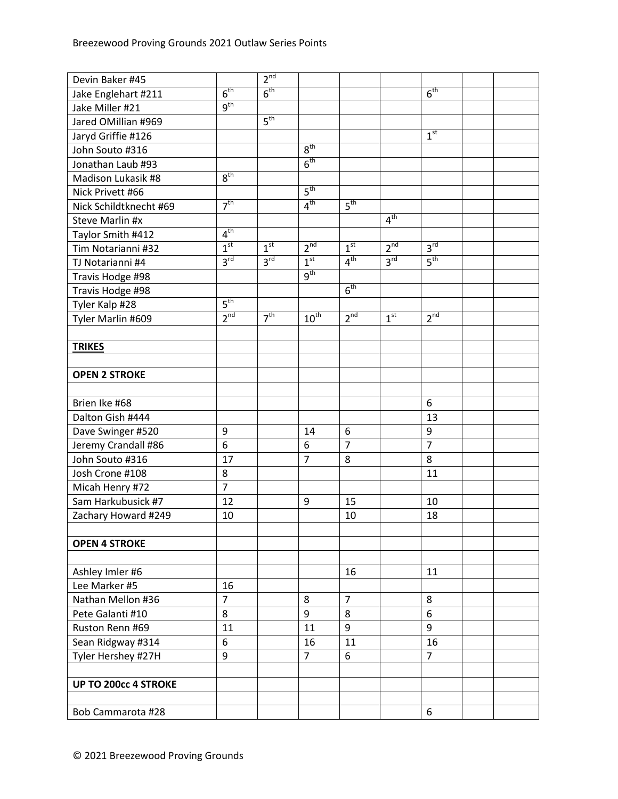| Devin Baker #45             |                 | 2 <sup>nd</sup> |                 |                 |                 |                 |  |
|-----------------------------|-----------------|-----------------|-----------------|-----------------|-----------------|-----------------|--|
| Jake Englehart #211         | 6 <sup>th</sup> | 6 <sup>th</sup> |                 |                 |                 | 6 <sup>th</sup> |  |
| Jake Miller #21             | $q^{th}$        |                 |                 |                 |                 |                 |  |
| Jared OMillian #969         |                 | 5 <sup>th</sup> |                 |                 |                 |                 |  |
| Jaryd Griffie #126          |                 |                 |                 |                 |                 | 1 <sup>st</sup> |  |
| John Souto #316             |                 |                 | 8 <sup>th</sup> |                 |                 |                 |  |
| Jonathan Laub #93           |                 |                 | 6 <sup>th</sup> |                 |                 |                 |  |
| Madison Lukasik #8          | 8 <sup>th</sup> |                 |                 |                 |                 |                 |  |
| Nick Privett #66            |                 |                 | 5 <sup>th</sup> |                 |                 |                 |  |
| Nick Schildtknecht #69      | 7 <sup>th</sup> |                 | 4 <sup>th</sup> | 5 <sup>th</sup> |                 |                 |  |
| <b>Steve Marlin #x</b>      |                 |                 |                 |                 | 4 <sup>th</sup> |                 |  |
| Taylor Smith #412           | 4 <sup>th</sup> |                 |                 |                 |                 |                 |  |
| Tim Notarianni #32          | 1 <sup>st</sup> | 1 <sup>st</sup> | 2 <sup>nd</sup> | 1 <sup>st</sup> | 2 <sup>nd</sup> | $3^{rd}$        |  |
| TJ Notarianni #4            | 3 <sup>rd</sup> | 3 <sup>rd</sup> | 1 <sup>st</sup> | 4 <sup>th</sup> | $3^{\text{rd}}$ | $5^{\text{th}}$ |  |
| Travis Hodge #98            |                 |                 | g <sup>th</sup> |                 |                 |                 |  |
| Travis Hodge #98            |                 |                 |                 | 6 <sup>th</sup> |                 |                 |  |
| Tyler Kalp #28              | 5 <sup>th</sup> |                 |                 |                 |                 |                 |  |
| Tyler Marlin #609           | 2 <sup>nd</sup> | 7 <sup>th</sup> | $10^{th}$       | 2 <sup>nd</sup> | 1 <sup>st</sup> | 2 <sup>nd</sup> |  |
|                             |                 |                 |                 |                 |                 |                 |  |
| <b>TRIKES</b>               |                 |                 |                 |                 |                 |                 |  |
|                             |                 |                 |                 |                 |                 |                 |  |
| <b>OPEN 2 STROKE</b>        |                 |                 |                 |                 |                 |                 |  |
|                             |                 |                 |                 |                 |                 |                 |  |
| Brien Ike #68               |                 |                 |                 |                 |                 | 6               |  |
| Dalton Gish #444            |                 |                 |                 |                 |                 | 13              |  |
| Dave Swinger #520           | 9               |                 | 14              | 6               |                 | 9               |  |
| Jeremy Crandall #86         | 6               |                 | 6               | $\overline{7}$  |                 | $\overline{7}$  |  |
| John Souto #316             | 17              |                 | $\overline{7}$  | 8               |                 | 8               |  |
| Josh Crone #108             | 8               |                 |                 |                 |                 | 11              |  |
| Micah Henry #72             | $\overline{7}$  |                 |                 |                 |                 |                 |  |
| Sam Harkubusick #7          | 12              |                 | 9               | 15              |                 | 10              |  |
| Zachary Howard #249         | 10              |                 |                 | 10              |                 | 18              |  |
|                             |                 |                 |                 |                 |                 |                 |  |
| <b>OPEN 4 STROKE</b>        |                 |                 |                 |                 |                 |                 |  |
|                             |                 |                 |                 |                 |                 |                 |  |
| Ashley Imler #6             |                 |                 |                 | 16              |                 | 11              |  |
| Lee Marker #5               | 16              |                 |                 |                 |                 |                 |  |
| Nathan Mellon #36           | $\overline{7}$  |                 | 8               | $\overline{7}$  |                 | 8               |  |
| Pete Galanti #10            | 8               |                 | 9               | 8               |                 | 6               |  |
| Ruston Renn #69             | 11              |                 | 11              | 9               |                 | 9               |  |
| Sean Ridgway #314           | 6               |                 | 16              | 11              |                 | 16              |  |
| Tyler Hershey #27H          | 9               |                 | $\overline{7}$  | 6               |                 | $\overline{7}$  |  |
|                             |                 |                 |                 |                 |                 |                 |  |
| <b>UP TO 200cc 4 STROKE</b> |                 |                 |                 |                 |                 |                 |  |
|                             |                 |                 |                 |                 |                 |                 |  |
| Bob Cammarota #28           |                 |                 |                 |                 |                 | 6               |  |